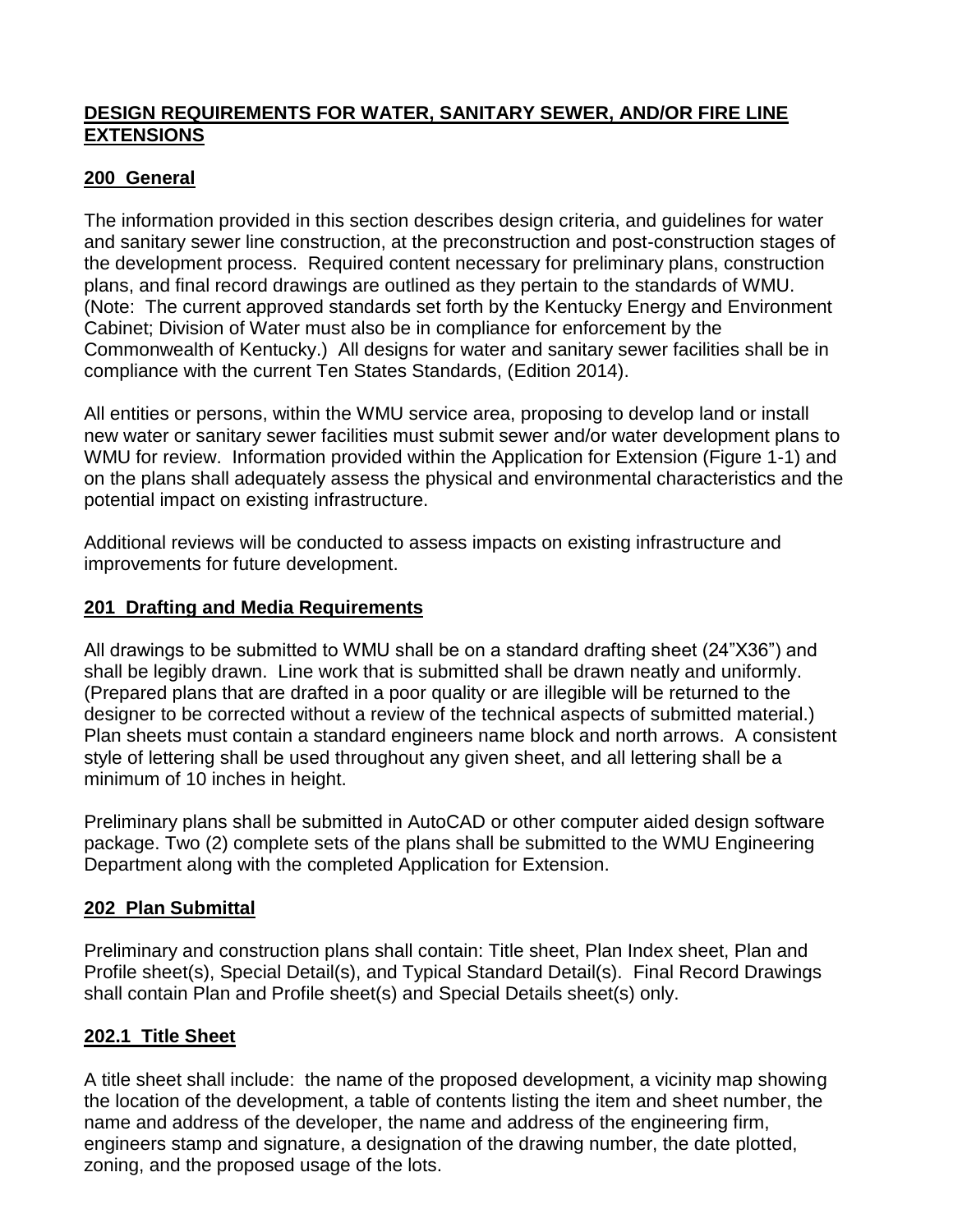## **DESIGN REQUIREMENTS FOR WATER, SANITARY SEWER, AND/OR FIRE LINE EXTENSIONS**

## **200 General**

The information provided in this section describes design criteria, and guidelines for water and sanitary sewer line construction, at the preconstruction and post-construction stages of the development process. Required content necessary for preliminary plans, construction plans, and final record drawings are outlined as they pertain to the standards of WMU. (Note: The current approved standards set forth by the Kentucky Energy and Environment Cabinet; Division of Water must also be in compliance for enforcement by the Commonwealth of Kentucky.) All designs for water and sanitary sewer facilities shall be in compliance with the current Ten States Standards, (Edition 2014).

All entities or persons, within the WMU service area, proposing to develop land or install new water or sanitary sewer facilities must submit sewer and/or water development plans to WMU for review. Information provided within the Application for Extension (Figure 1-1) and on the plans shall adequately assess the physical and environmental characteristics and the potential impact on existing infrastructure.

Additional reviews will be conducted to assess impacts on existing infrastructure and improvements for future development.

## **201 Drafting and Media Requirements**

All drawings to be submitted to WMU shall be on a standard drafting sheet (24"X36") and shall be legibly drawn. Line work that is submitted shall be drawn neatly and uniformly. (Prepared plans that are drafted in a poor quality or are illegible will be returned to the designer to be corrected without a review of the technical aspects of submitted material.) Plan sheets must contain a standard engineers name block and north arrows. A consistent style of lettering shall be used throughout any given sheet, and all lettering shall be a minimum of 10 inches in height.

Preliminary plans shall be submitted in AutoCAD or other computer aided design software package. Two (2) complete sets of the plans shall be submitted to the WMU Engineering Department along with the completed Application for Extension.

## **202 Plan Submittal**

Preliminary and construction plans shall contain: Title sheet, Plan Index sheet, Plan and Profile sheet(s), Special Detail(s), and Typical Standard Detail(s).Final Record Drawings shall contain Plan and Profile sheet(s) and Special Details sheet(s) only.

## **202.1 Title Sheet**

A title sheet shall include: the name of the proposed development, a vicinity map showing the location of the development, a table of contents listing the item and sheet number, the name and address of the developer, the name and address of the engineering firm, engineers stamp and signature, a designation of the drawing number, the date plotted, zoning, and the proposed usage of the lots.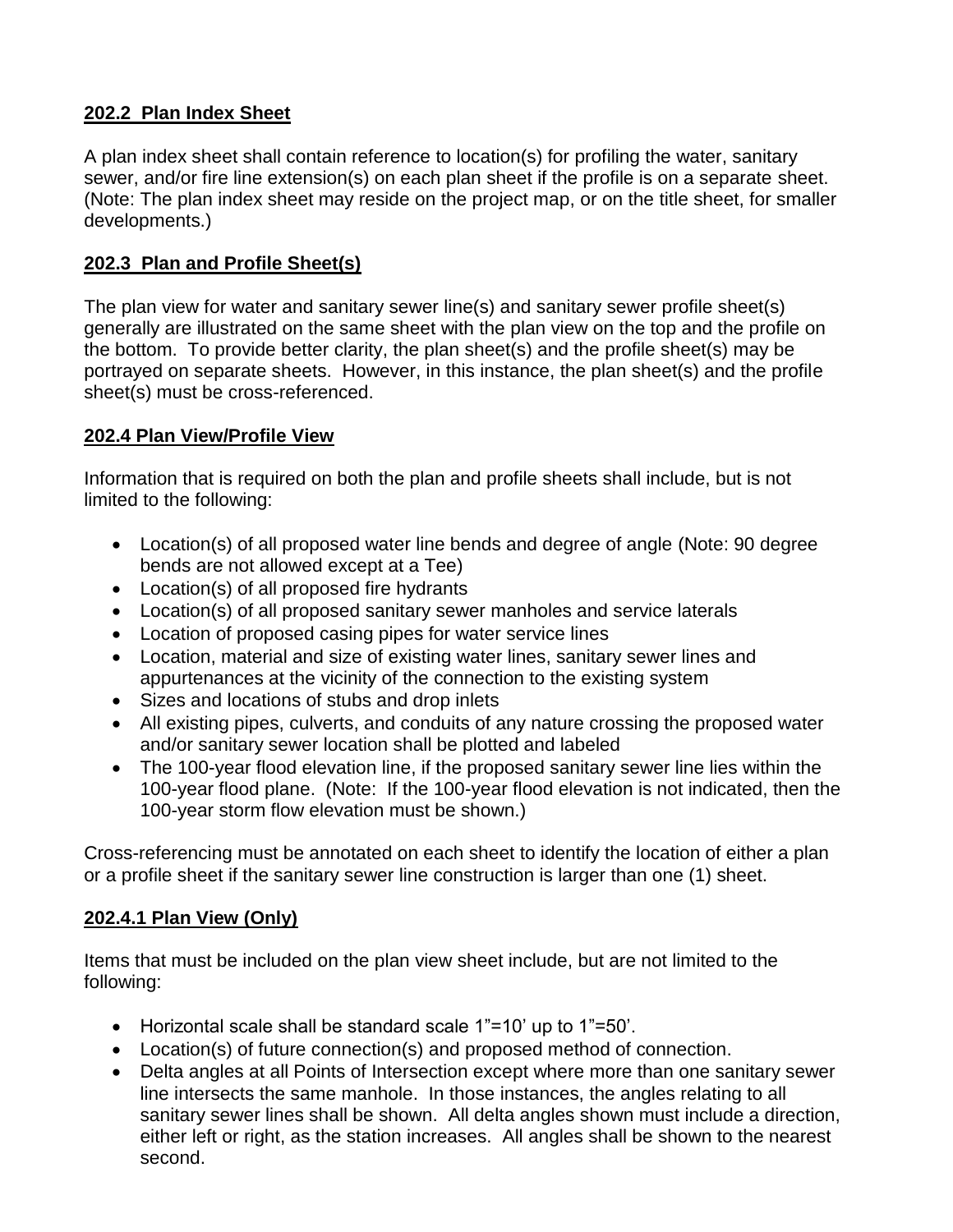## **202.2 Plan Index Sheet**

A plan index sheet shall contain reference to location(s) for profiling the water, sanitary sewer, and/or fire line extension(s) on each plan sheet if the profile is on a separate sheet. (Note: The plan index sheet may reside on the project map, or on the title sheet, for smaller developments.)

## **202.3 Plan and Profile Sheet(s)**

The plan view for water and sanitary sewer line(s) and sanitary sewer profile sheet(s) generally are illustrated on the same sheet with the plan view on the top and the profile on the bottom. To provide better clarity, the plan sheet(s) and the profile sheet(s) may be portrayed on separate sheets. However, in this instance, the plan sheet(s) and the profile sheet(s) must be cross-referenced.

## **202.4 Plan View/Profile View**

Information that is required on both the plan and profile sheets shall include, but is not limited to the following:

- Location(s) of all proposed water line bends and degree of angle (Note: 90 degree bends are not allowed except at a Tee)
- Location(s) of all proposed fire hydrants
- Location(s) of all proposed sanitary sewer manholes and service laterals
- Location of proposed casing pipes for water service lines
- Location, material and size of existing water lines, sanitary sewer lines and appurtenances at the vicinity of the connection to the existing system
- Sizes and locations of stubs and drop inlets
- All existing pipes, culverts, and conduits of any nature crossing the proposed water and/or sanitary sewer location shall be plotted and labeled
- The 100-year flood elevation line, if the proposed sanitary sewer line lies within the 100-year flood plane. (Note: If the 100-year flood elevation is not indicated, then the 100-year storm flow elevation must be shown.)

Cross-referencing must be annotated on each sheet to identify the location of either a plan or a profile sheet if the sanitary sewer line construction is larger than one (1) sheet.

## **202.4.1 Plan View (Only)**

Items that must be included on the plan view sheet include, but are not limited to the following:

- Horizontal scale shall be standard scale 1"=10' up to 1"=50'.
- Location(s) of future connection(s) and proposed method of connection.
- Delta angles at all Points of Intersection except where more than one sanitary sewer line intersects the same manhole. In those instances, the angles relating to all sanitary sewer lines shall be shown. All delta angles shown must include a direction, either left or right, as the station increases. All angles shall be shown to the nearest second.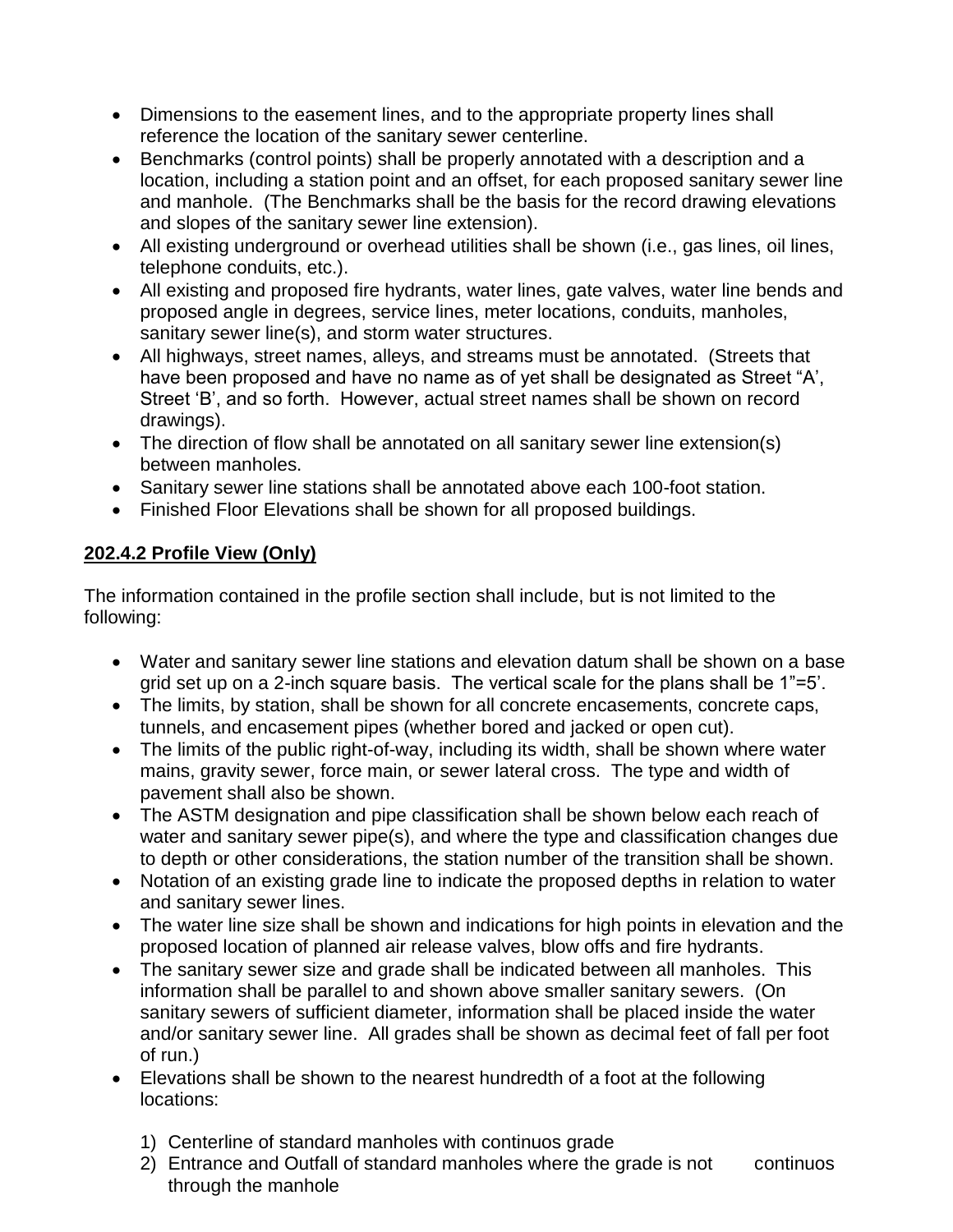- Dimensions to the easement lines, and to the appropriate property lines shall reference the location of the sanitary sewer centerline.
- Benchmarks (control points) shall be properly annotated with a description and a location, including a station point and an offset, for each proposed sanitary sewer line and manhole. (The Benchmarks shall be the basis for the record drawing elevations and slopes of the sanitary sewer line extension).
- All existing underground or overhead utilities shall be shown (i.e., gas lines, oil lines, telephone conduits, etc.).
- All existing and proposed fire hydrants, water lines, gate valves, water line bends and proposed angle in degrees, service lines, meter locations, conduits, manholes, sanitary sewer line(s), and storm water structures.
- All highways, street names, alleys, and streams must be annotated. (Streets that have been proposed and have no name as of yet shall be designated as Street "A', Street 'B', and so forth. However, actual street names shall be shown on record drawings).
- The direction of flow shall be annotated on all sanitary sewer line extension(s) between manholes.
- Sanitary sewer line stations shall be annotated above each 100-foot station.
- Finished Floor Elevations shall be shown for all proposed buildings.

# **202.4.2 Profile View (Only)**

The information contained in the profile section shall include, but is not limited to the following:

- Water and sanitary sewer line stations and elevation datum shall be shown on a base grid set up on a 2-inch square basis. The vertical scale for the plans shall be 1"=5'.
- The limits, by station, shall be shown for all concrete encasements, concrete caps, tunnels, and encasement pipes (whether bored and jacked or open cut).
- The limits of the public right-of-way, including its width, shall be shown where water mains, gravity sewer, force main, or sewer lateral cross. The type and width of pavement shall also be shown.
- The ASTM designation and pipe classification shall be shown below each reach of water and sanitary sewer pipe(s), and where the type and classification changes due to depth or other considerations, the station number of the transition shall be shown.
- Notation of an existing grade line to indicate the proposed depths in relation to water and sanitary sewer lines.
- The water line size shall be shown and indications for high points in elevation and the proposed location of planned air release valves, blow offs and fire hydrants.
- The sanitary sewer size and grade shall be indicated between all manholes. This information shall be parallel to and shown above smaller sanitary sewers. (On sanitary sewers of sufficient diameter, information shall be placed inside the water and/or sanitary sewer line. All grades shall be shown as decimal feet of fall per foot of run.)
- Elevations shall be shown to the nearest hundredth of a foot at the following locations:
	- 1) Centerline of standard manholes with continuos grade
	- 2) Entrance and Outfall of standard manholes where the grade is not continuos through the manhole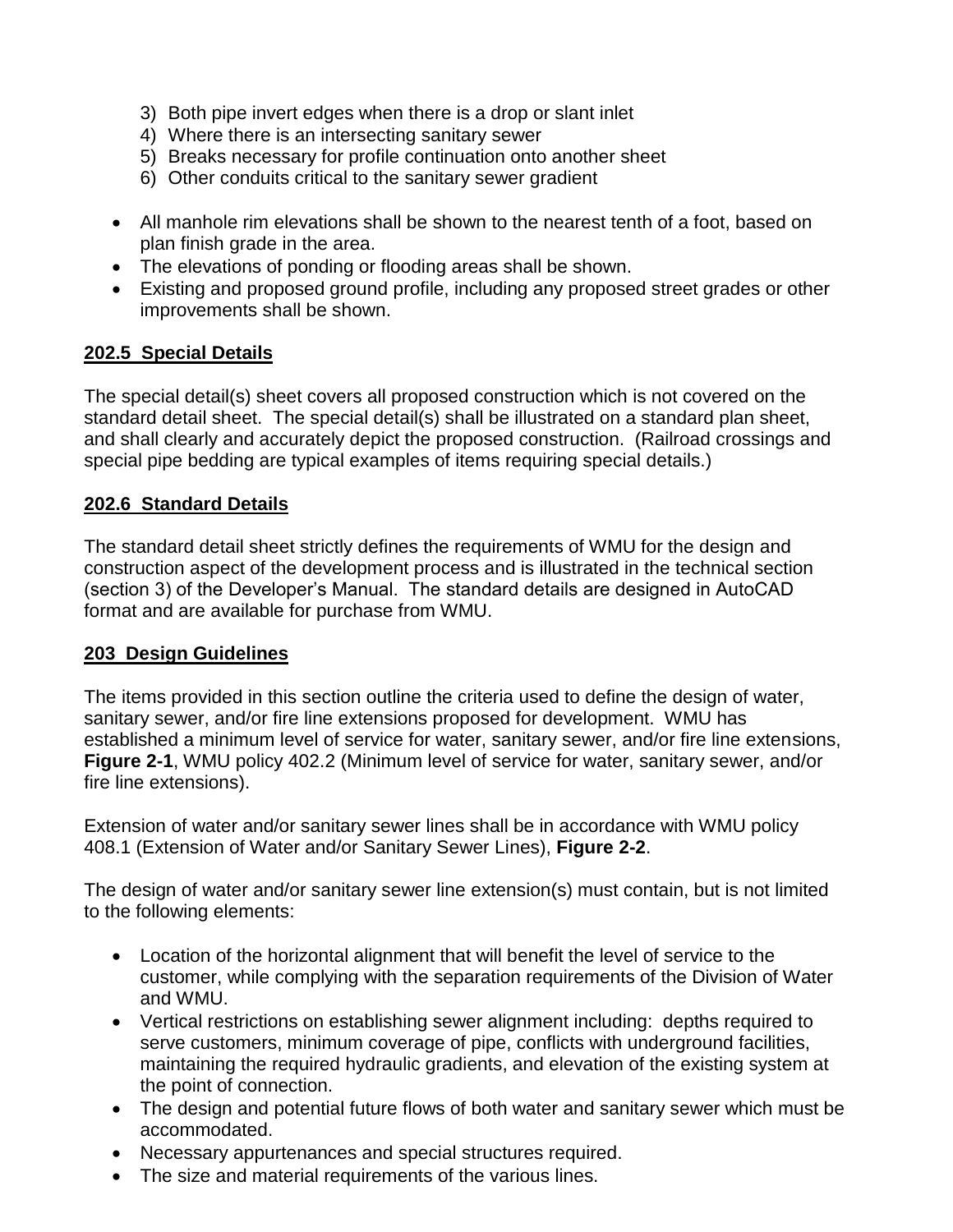- 3) Both pipe invert edges when there is a drop or slant inlet
- 4) Where there is an intersecting sanitary sewer
- 5) Breaks necessary for profile continuation onto another sheet
- 6) Other conduits critical to the sanitary sewer gradient
- All manhole rim elevations shall be shown to the nearest tenth of a foot, based on plan finish grade in the area.
- The elevations of ponding or flooding areas shall be shown.
- Existing and proposed ground profile, including any proposed street grades or other improvements shall be shown.

## **202.5 Special Details**

The special detail(s) sheet covers all proposed construction which is not covered on the standard detail sheet. The special detail(s) shall be illustrated on a standard plan sheet, and shall clearly and accurately depict the proposed construction. (Railroad crossings and special pipe bedding are typical examples of items requiring special details.)

## **202.6 Standard Details**

The standard detail sheet strictly defines the requirements of WMU for the design and construction aspect of the development process and is illustrated in the technical section (section 3) of the Developer's Manual. The standard details are designed in AutoCAD format and are available for purchase from WMU.

## **203 Design Guidelines**

The items provided in this section outline the criteria used to define the design of water, sanitary sewer, and/or fire line extensions proposed for development. WMU has established a minimum level of service for water, sanitary sewer, and/or fire line extensions, **Figure 2-1**, WMU policy 402.2 (Minimum level of service for water, sanitary sewer, and/or fire line extensions).

Extension of water and/or sanitary sewer lines shall be in accordance with WMU policy 408.1 (Extension of Water and/or Sanitary Sewer Lines), **Figure 2-2**.

The design of water and/or sanitary sewer line extension(s) must contain, but is not limited to the following elements:

- Location of the horizontal alignment that will benefit the level of service to the customer, while complying with the separation requirements of the Division of Water and WMU.
- Vertical restrictions on establishing sewer alignment including: depths required to serve customers, minimum coverage of pipe, conflicts with underground facilities, maintaining the required hydraulic gradients, and elevation of the existing system at the point of connection.
- The design and potential future flows of both water and sanitary sewer which must be accommodated.
- Necessary appurtenances and special structures required.
- The size and material requirements of the various lines.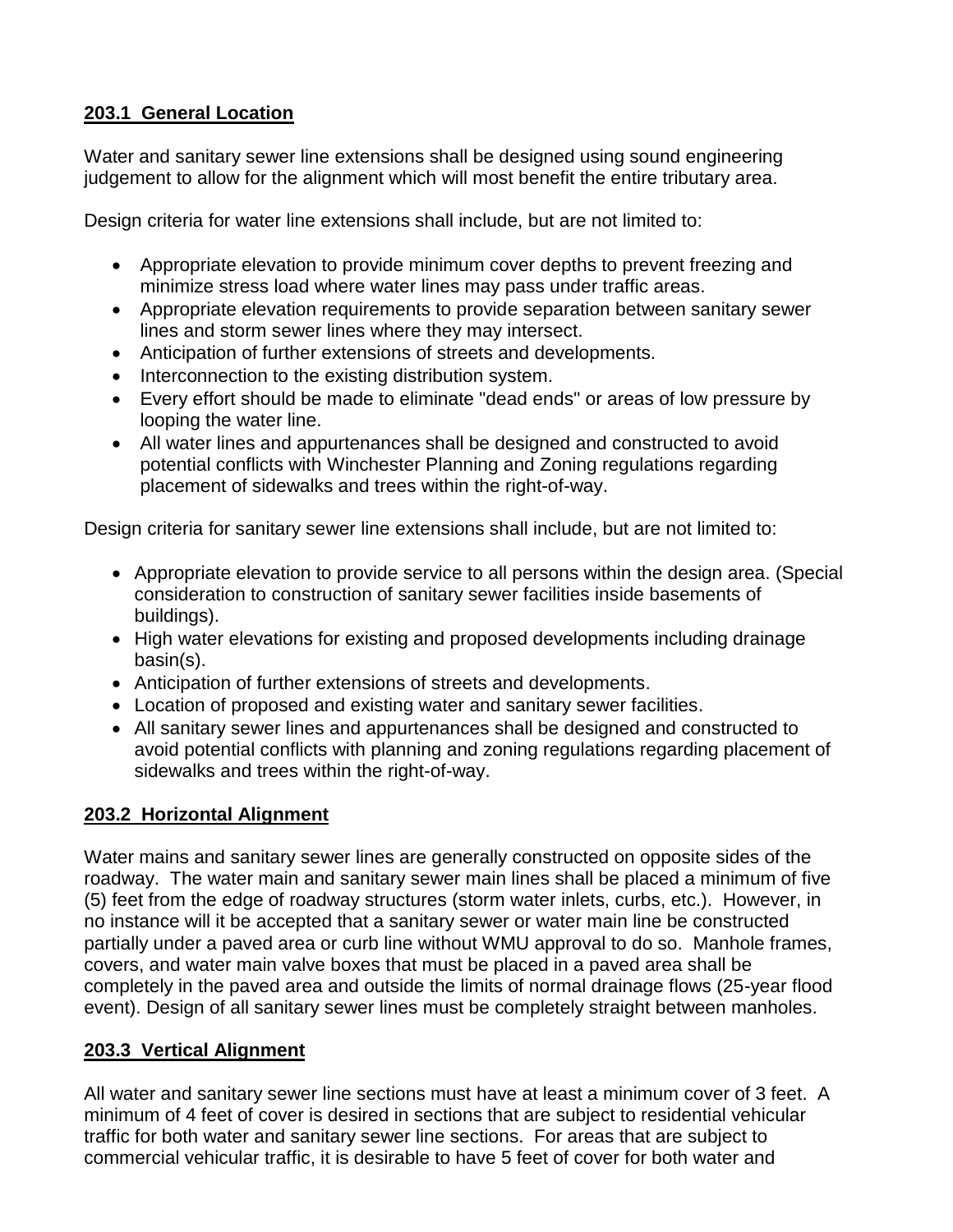# **203.1 General Location**

Water and sanitary sewer line extensions shall be designed using sound engineering judgement to allow for the alignment which will most benefit the entire tributary area.

Design criteria for water line extensions shall include, but are not limited to:

- Appropriate elevation to provide minimum cover depths to prevent freezing and minimize stress load where water lines may pass under traffic areas.
- Appropriate elevation requirements to provide separation between sanitary sewer lines and storm sewer lines where they may intersect.
- Anticipation of further extensions of streets and developments.
- Interconnection to the existing distribution system.
- Every effort should be made to eliminate "dead ends" or areas of low pressure by looping the water line.
- All water lines and appurtenances shall be designed and constructed to avoid potential conflicts with Winchester Planning and Zoning regulations regarding placement of sidewalks and trees within the right-of-way.

Design criteria for sanitary sewer line extensions shall include, but are not limited to:

- Appropriate elevation to provide service to all persons within the design area. (Special consideration to construction of sanitary sewer facilities inside basements of buildings).
- High water elevations for existing and proposed developments including drainage basin(s).
- Anticipation of further extensions of streets and developments.
- Location of proposed and existing water and sanitary sewer facilities.
- All sanitary sewer lines and appurtenances shall be designed and constructed to avoid potential conflicts with planning and zoning regulations regarding placement of sidewalks and trees within the right-of-way.

## **203.2 Horizontal Alignment**

Water mains and sanitary sewer lines are generally constructed on opposite sides of the roadway. The water main and sanitary sewer main lines shall be placed a minimum of five (5) feet from the edge of roadway structures (storm water inlets, curbs, etc.). However, in no instance will it be accepted that a sanitary sewer or water main line be constructed partially under a paved area or curb line without WMU approval to do so. Manhole frames, covers, and water main valve boxes that must be placed in a paved area shall be completely in the paved area and outside the limits of normal drainage flows (25-year flood event). Design of all sanitary sewer lines must be completely straight between manholes.

## **203.3 Vertical Alignment**

All water and sanitary sewer line sections must have at least a minimum cover of 3 feet. A minimum of 4 feet of cover is desired in sections that are subject to residential vehicular traffic for both water and sanitary sewer line sections. For areas that are subject to commercial vehicular traffic, it is desirable to have 5 feet of cover for both water and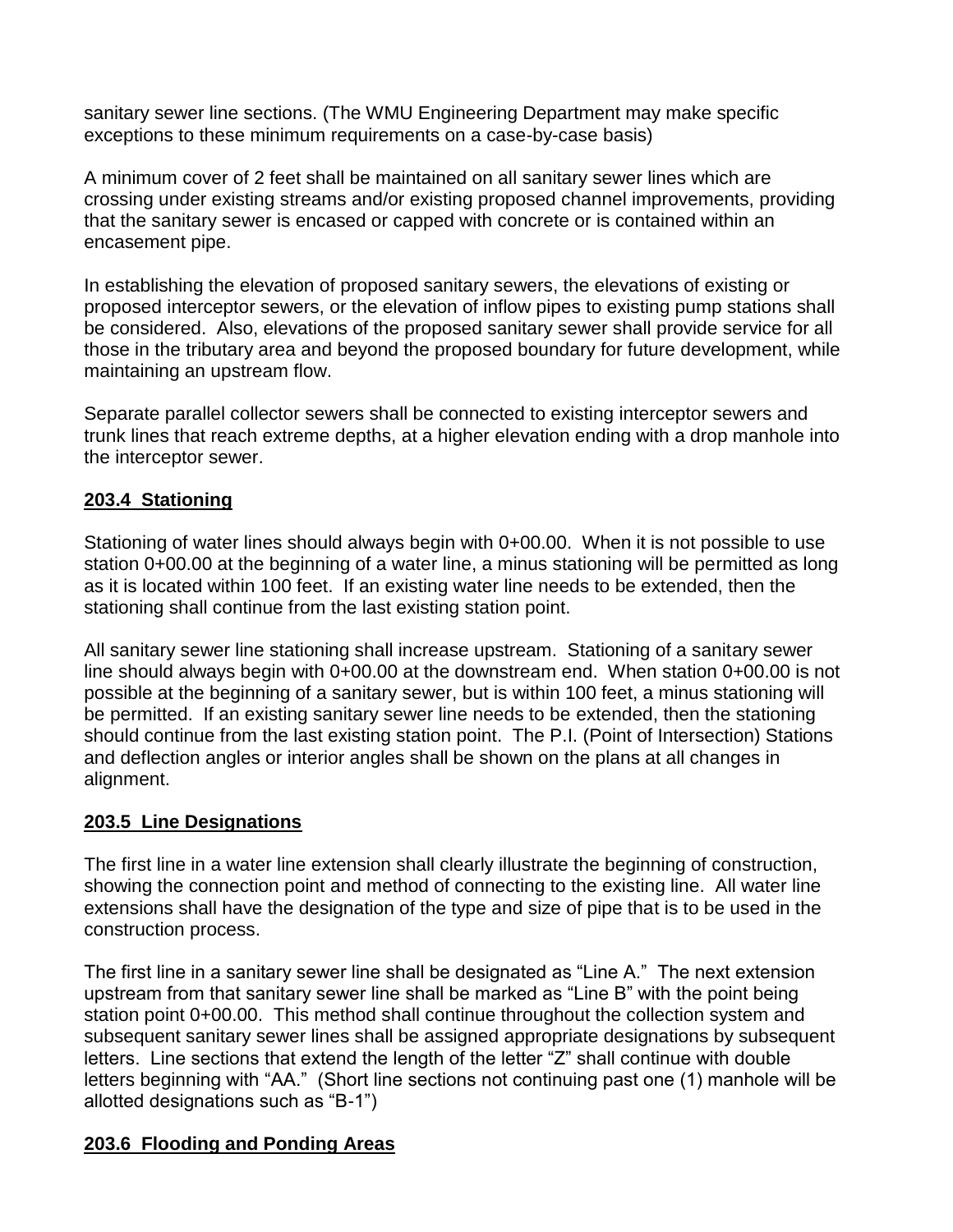sanitary sewer line sections. (The WMU Engineering Department may make specific exceptions to these minimum requirements on a case-by-case basis)

A minimum cover of 2 feet shall be maintained on all sanitary sewer lines which are crossing under existing streams and/or existing proposed channel improvements, providing that the sanitary sewer is encased or capped with concrete or is contained within an encasement pipe.

In establishing the elevation of proposed sanitary sewers, the elevations of existing or proposed interceptor sewers, or the elevation of inflow pipes to existing pump stations shall be considered. Also, elevations of the proposed sanitary sewer shall provide service for all those in the tributary area and beyond the proposed boundary for future development, while maintaining an upstream flow.

Separate parallel collector sewers shall be connected to existing interceptor sewers and trunk lines that reach extreme depths, at a higher elevation ending with a drop manhole into the interceptor sewer.

## **203.4 Stationing**

Stationing of water lines should always begin with 0+00.00. When it is not possible to use station 0+00.00 at the beginning of a water line, a minus stationing will be permitted as long as it is located within 100 feet. If an existing water line needs to be extended, then the stationing shall continue from the last existing station point.

All sanitary sewer line stationing shall increase upstream. Stationing of a sanitary sewer line should always begin with 0+00.00 at the downstream end. When station 0+00.00 is not possible at the beginning of a sanitary sewer, but is within 100 feet, a minus stationing will be permitted. If an existing sanitary sewer line needs to be extended, then the stationing should continue from the last existing station point. The P.I. (Point of Intersection) Stations and deflection angles or interior angles shall be shown on the plans at all changes in alignment.

## **203.5 Line Designations**

The first line in a water line extension shall clearly illustrate the beginning of construction, showing the connection point and method of connecting to the existing line. All water line extensions shall have the designation of the type and size of pipe that is to be used in the construction process.

The first line in a sanitary sewer line shall be designated as "Line A." The next extension upstream from that sanitary sewer line shall be marked as "Line B" with the point being station point 0+00.00. This method shall continue throughout the collection system and subsequent sanitary sewer lines shall be assigned appropriate designations by subsequent letters. Line sections that extend the length of the letter "Z" shall continue with double letters beginning with "AA." (Short line sections not continuing past one (1) manhole will be allotted designations such as "B-1")

## **203.6 Flooding and Ponding Areas**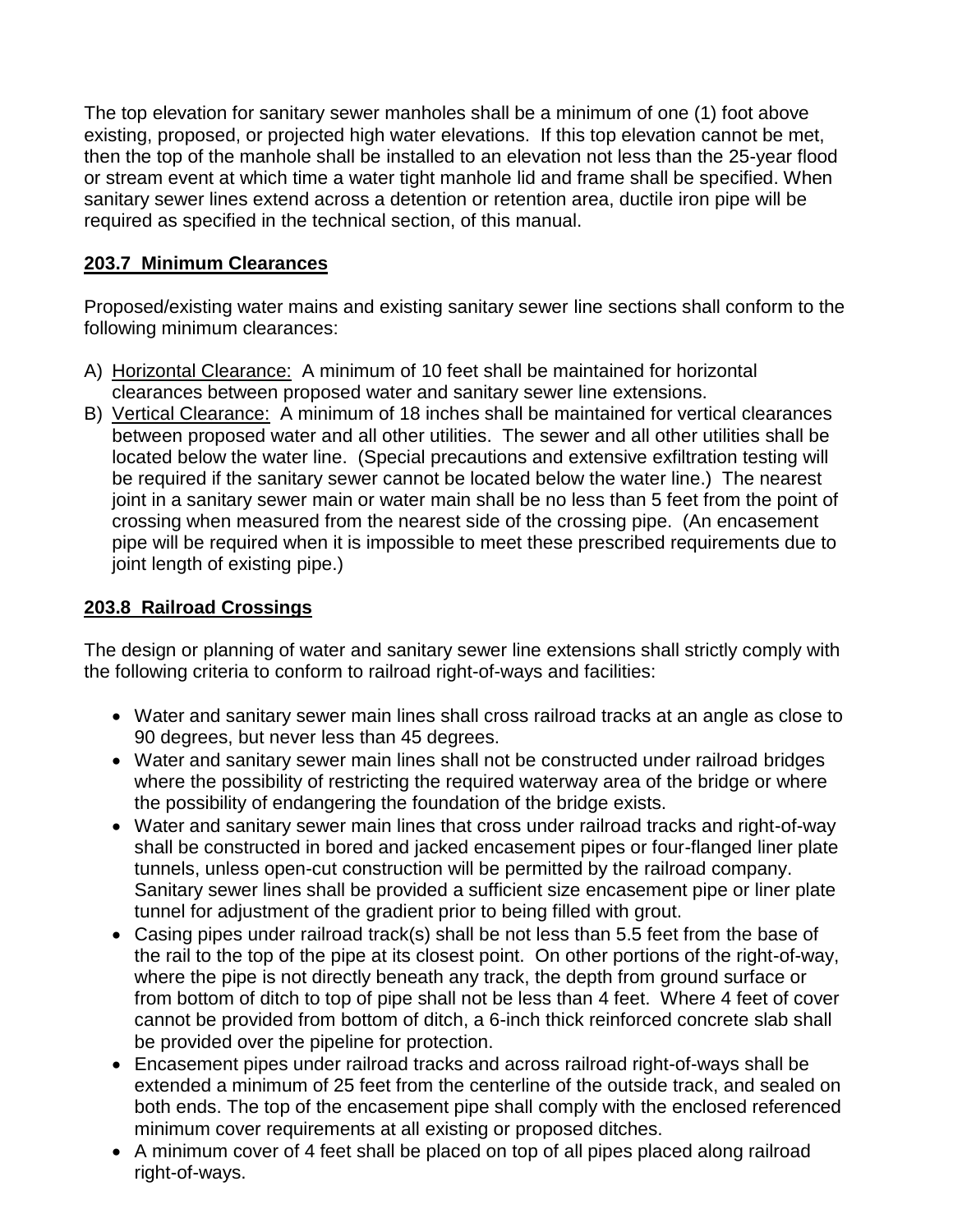The top elevation for sanitary sewer manholes shall be a minimum of one (1) foot above existing, proposed, or projected high water elevations. If this top elevation cannot be met, then the top of the manhole shall be installed to an elevation not less than the 25-year flood or stream event at which time a water tight manhole lid and frame shall be specified. When sanitary sewer lines extend across a detention or retention area, ductile iron pipe will be required as specified in the technical section, of this manual.

# **203.7 Minimum Clearances**

Proposed/existing water mains and existing sanitary sewer line sections shall conform to the following minimum clearances:

- A) Horizontal Clearance: A minimum of 10 feet shall be maintained for horizontal clearances between proposed water and sanitary sewer line extensions.
- B) Vertical Clearance: A minimum of 18 inches shall be maintained for vertical clearances between proposed water and all other utilities. The sewer and all other utilities shall be located below the water line. (Special precautions and extensive exfiltration testing will be required if the sanitary sewer cannot be located below the water line.) The nearest joint in a sanitary sewer main or water main shall be no less than 5 feet from the point of crossing when measured from the nearest side of the crossing pipe. (An encasement pipe will be required when it is impossible to meet these prescribed requirements due to joint length of existing pipe.)

# **203.8 Railroad Crossings**

The design or planning of water and sanitary sewer line extensions shall strictly comply with the following criteria to conform to railroad right-of-ways and facilities:

- Water and sanitary sewer main lines shall cross railroad tracks at an angle as close to 90 degrees, but never less than 45 degrees.
- Water and sanitary sewer main lines shall not be constructed under railroad bridges where the possibility of restricting the required waterway area of the bridge or where the possibility of endangering the foundation of the bridge exists.
- Water and sanitary sewer main lines that cross under railroad tracks and right-of-way shall be constructed in bored and jacked encasement pipes or four-flanged liner plate tunnels, unless open-cut construction will be permitted by the railroad company. Sanitary sewer lines shall be provided a sufficient size encasement pipe or liner plate tunnel for adjustment of the gradient prior to being filled with grout.
- Casing pipes under railroad track(s) shall be not less than 5.5 feet from the base of the rail to the top of the pipe at its closest point. On other portions of the right-of-way, where the pipe is not directly beneath any track, the depth from ground surface or from bottom of ditch to top of pipe shall not be less than 4 feet. Where 4 feet of cover cannot be provided from bottom of ditch, a 6-inch thick reinforced concrete slab shall be provided over the pipeline for protection.
- Encasement pipes under railroad tracks and across railroad right-of-ways shall be extended a minimum of 25 feet from the centerline of the outside track, and sealed on both ends. The top of the encasement pipe shall comply with the enclosed referenced minimum cover requirements at all existing or proposed ditches.
- A minimum cover of 4 feet shall be placed on top of all pipes placed along railroad right-of-ways.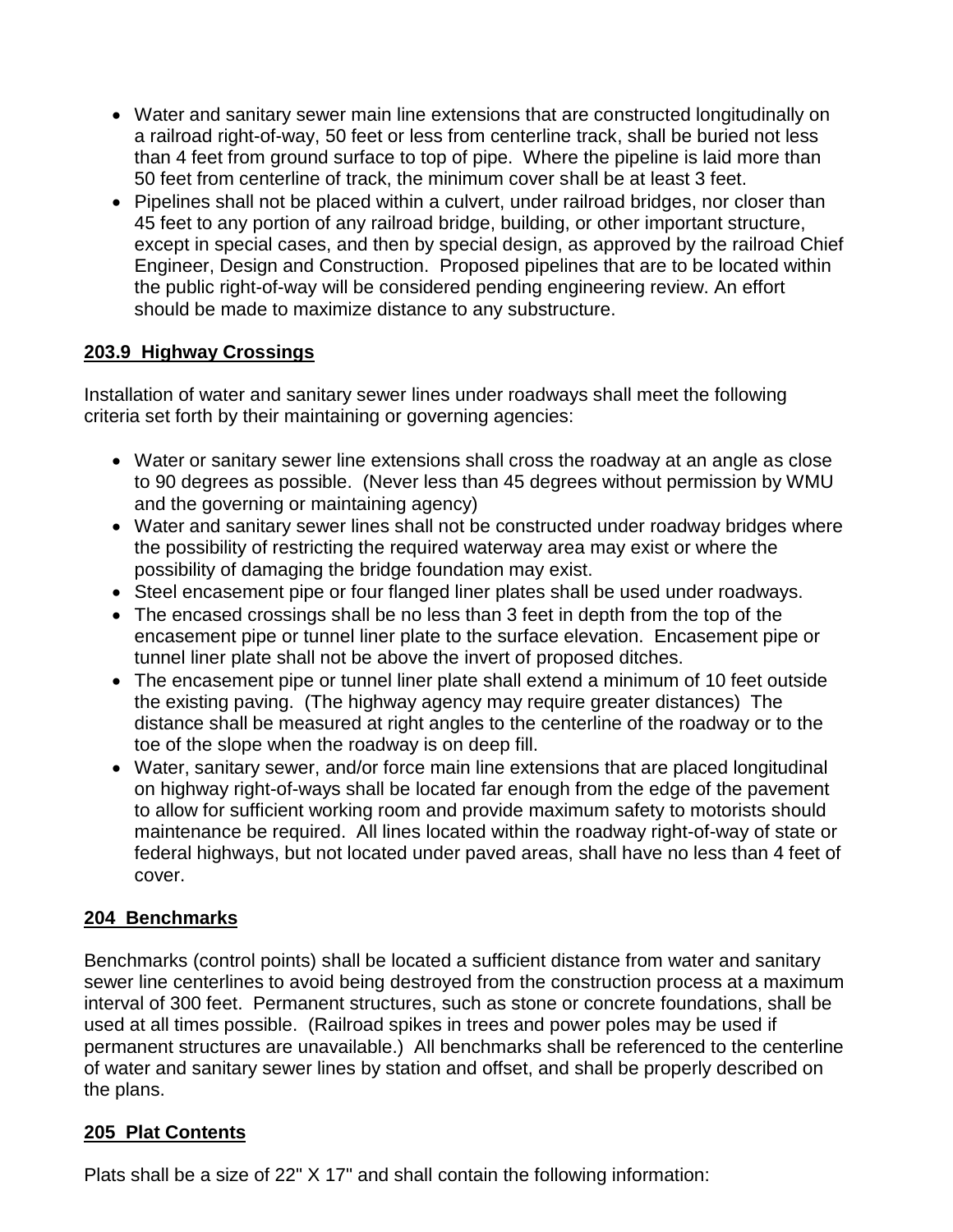- Water and sanitary sewer main line extensions that are constructed longitudinally on a railroad right-of-way, 50 feet or less from centerline track, shall be buried not less than 4 feet from ground surface to top of pipe. Where the pipeline is laid more than 50 feet from centerline of track, the minimum cover shall be at least 3 feet.
- Pipelines shall not be placed within a culvert, under railroad bridges, nor closer than 45 feet to any portion of any railroad bridge, building, or other important structure, except in special cases, and then by special design, as approved by the railroad Chief Engineer, Design and Construction. Proposed pipelines that are to be located within the public right-of-way will be considered pending engineering review. An effort should be made to maximize distance to any substructure.

# **203.9 Highway Crossings**

Installation of water and sanitary sewer lines under roadways shall meet the following criteria set forth by their maintaining or governing agencies:

- Water or sanitary sewer line extensions shall cross the roadway at an angle as close to 90 degrees as possible. (Never less than 45 degrees without permission by WMU and the governing or maintaining agency)
- Water and sanitary sewer lines shall not be constructed under roadway bridges where the possibility of restricting the required waterway area may exist or where the possibility of damaging the bridge foundation may exist.
- Steel encasement pipe or four flanged liner plates shall be used under roadways.
- The encased crossings shall be no less than 3 feet in depth from the top of the encasement pipe or tunnel liner plate to the surface elevation. Encasement pipe or tunnel liner plate shall not be above the invert of proposed ditches.
- The encasement pipe or tunnel liner plate shall extend a minimum of 10 feet outside the existing paving. (The highway agency may require greater distances) The distance shall be measured at right angles to the centerline of the roadway or to the toe of the slope when the roadway is on deep fill.
- Water, sanitary sewer, and/or force main line extensions that are placed longitudinal on highway right-of-ways shall be located far enough from the edge of the pavement to allow for sufficient working room and provide maximum safety to motorists should maintenance be required. All lines located within the roadway right-of-way of state or federal highways, but not located under paved areas, shall have no less than 4 feet of cover.

## **204 Benchmarks**

Benchmarks (control points) shall be located a sufficient distance from water and sanitary sewer line centerlines to avoid being destroyed from the construction process at a maximum interval of 300 feet. Permanent structures, such as stone or concrete foundations, shall be used at all times possible. (Railroad spikes in trees and power poles may be used if permanent structures are unavailable.) All benchmarks shall be referenced to the centerline of water and sanitary sewer lines by station and offset, and shall be properly described on the plans.

# **205 Plat Contents**

Plats shall be a size of 22" X 17" and shall contain the following information: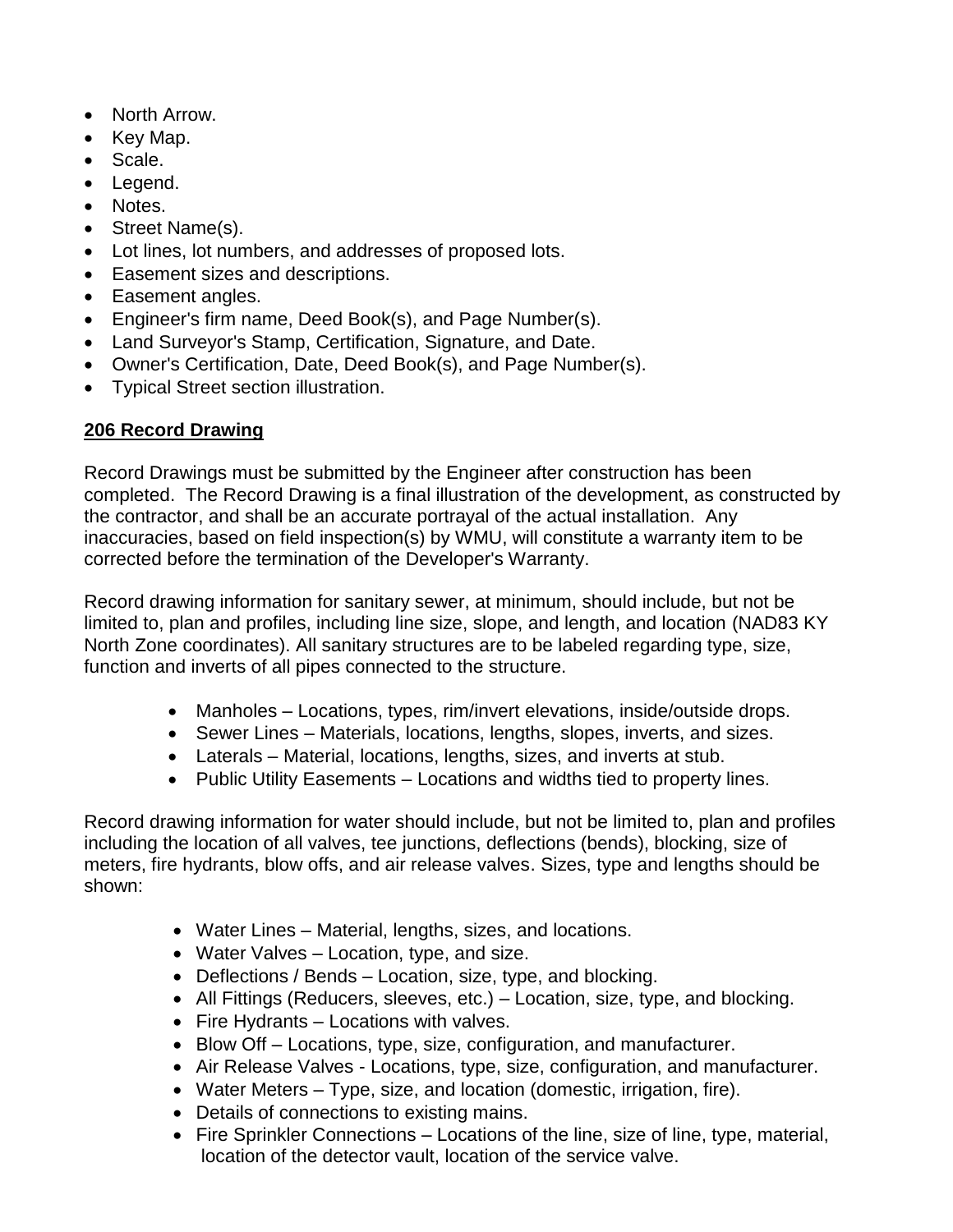- North Arrow.
- Key Map.
- Scale.
- Legend.
- Notes.
- Street Name(s).
- Lot lines, lot numbers, and addresses of proposed lots.
- Easement sizes and descriptions.
- Easement angles.
- Engineer's firm name, Deed Book(s), and Page Number(s).
- Land Surveyor's Stamp, Certification, Signature, and Date.
- Owner's Certification, Date, Deed Book(s), and Page Number(s).
- Typical Street section illustration.

# **206 Record Drawing**

Record Drawings must be submitted by the Engineer after construction has been completed. The Record Drawing is a final illustration of the development, as constructed by the contractor, and shall be an accurate portrayal of the actual installation. Any inaccuracies, based on field inspection(s) by WMU, will constitute a warranty item to be corrected before the termination of the Developer's Warranty.

Record drawing information for sanitary sewer, at minimum, should include, but not be limited to, plan and profiles, including line size, slope, and length, and location (NAD83 KY North Zone coordinates). All sanitary structures are to be labeled regarding type, size, function and inverts of all pipes connected to the structure.

- Manholes Locations, types, rim/invert elevations, inside/outside drops.
- Sewer Lines Materials, locations, lengths, slopes, inverts, and sizes.
- Laterals Material, locations, lengths, sizes, and inverts at stub.
- Public Utility Easements Locations and widths tied to property lines.

Record drawing information for water should include, but not be limited to, plan and profiles including the location of all valves, tee junctions, deflections (bends), blocking, size of meters, fire hydrants, blow offs, and air release valves. Sizes, type and lengths should be shown:

- Water Lines Material, lengths, sizes, and locations.
- Water Valves Location, type, and size.
- Deflections / Bends Location, size, type, and blocking.
- All Fittings (Reducers, sleeves, etc.) Location, size, type, and blocking.
- Fire Hydrants Locations with valves.
- Blow Off Locations, type, size, configuration, and manufacturer.
- Air Release Valves Locations, type, size, configuration, and manufacturer.
- Water Meters Type, size, and location (domestic, irrigation, fire).
- Details of connections to existing mains.
- Fire Sprinkler Connections Locations of the line, size of line, type, material, location of the detector vault, location of the service valve.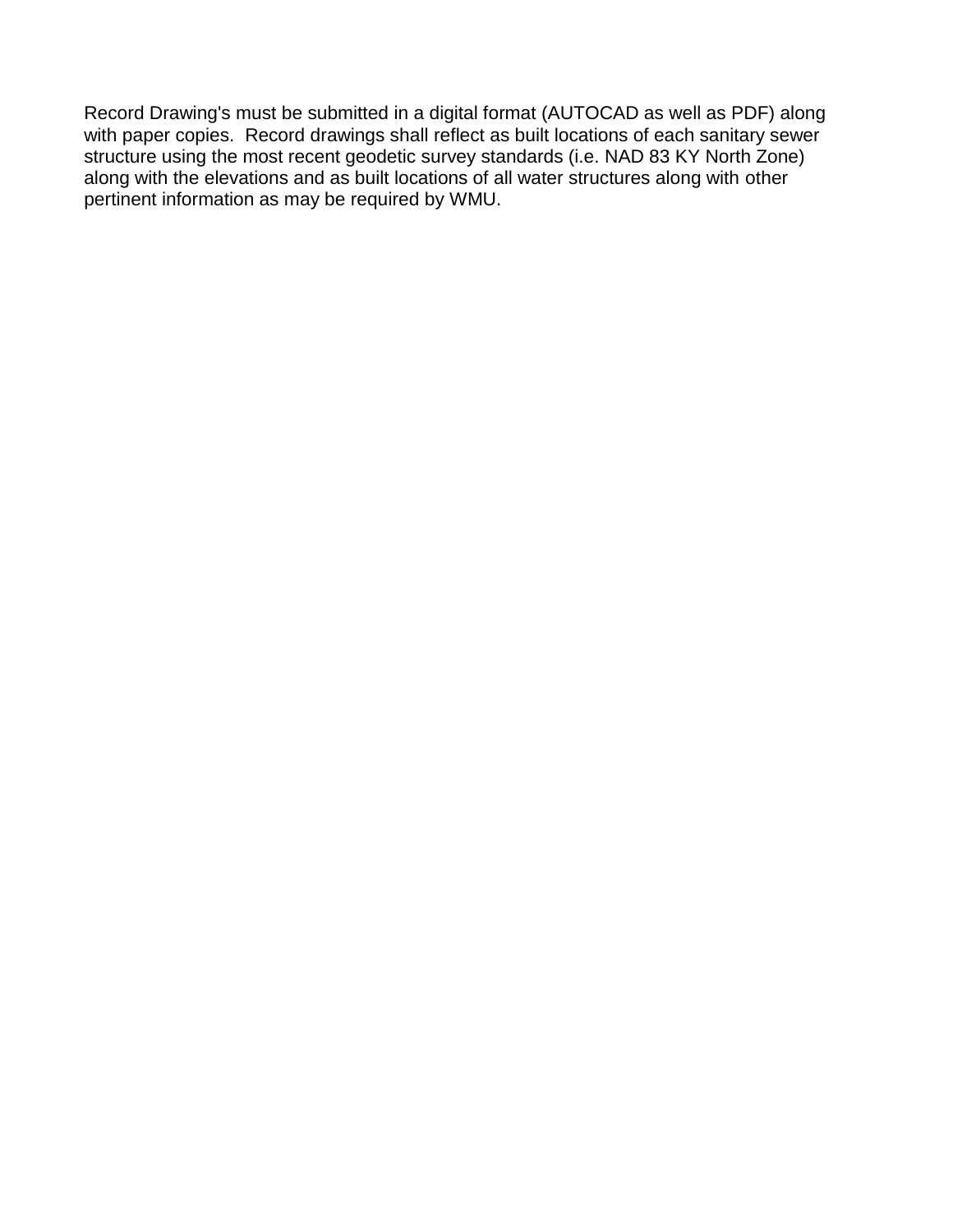Record Drawing's must be submitted in a digital format (AUTOCAD as well as PDF) along with paper copies. Record drawings shall reflect as built locations of each sanitary sewer structure using the most recent geodetic survey standards (i.e. NAD 83 KY North Zone) along with the elevations and as built locations of all water structures along with other pertinent information as may be required by WMU.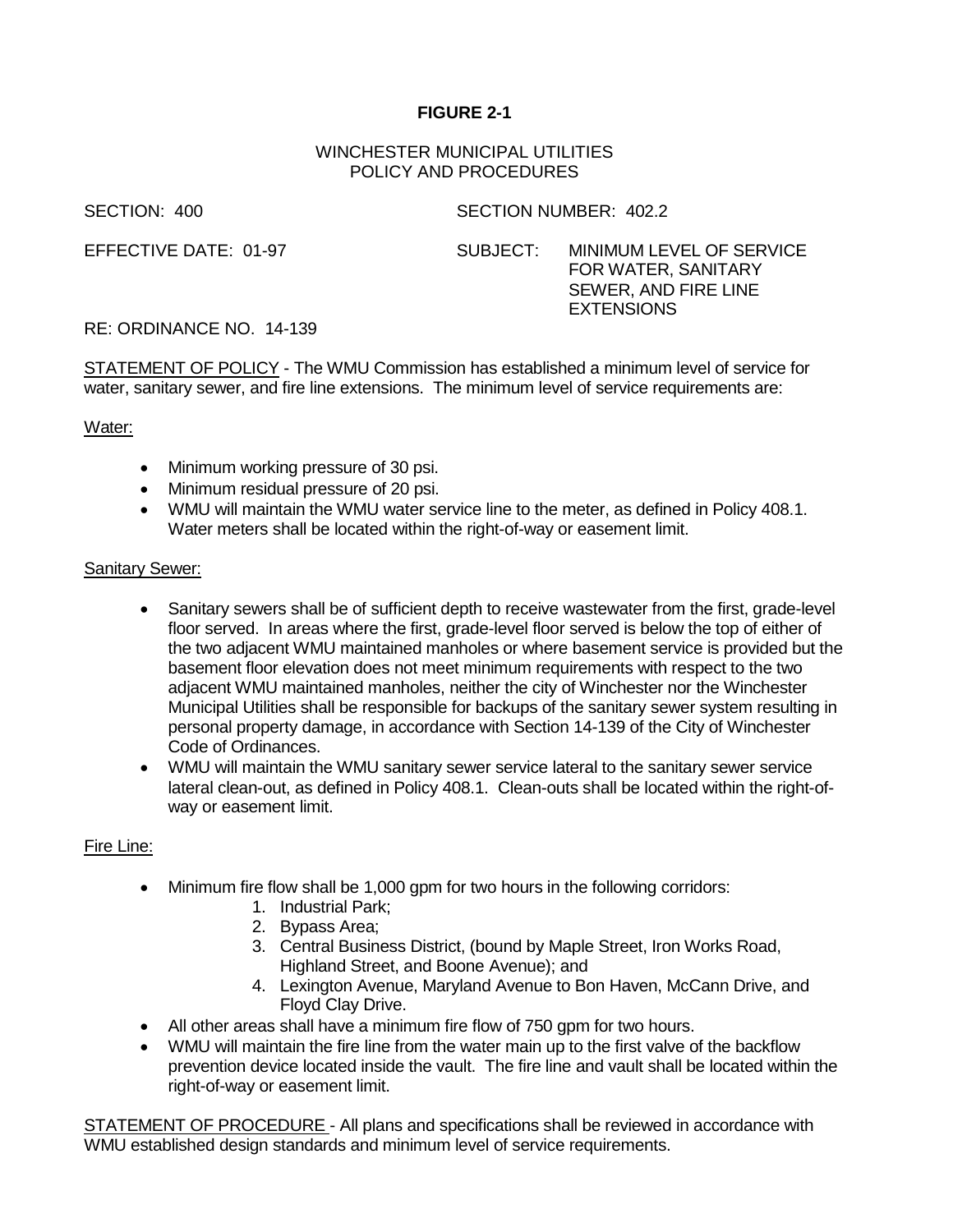## **FIGURE 2-1**

## WINCHESTER MUNICIPAL UTILITIES POLICY AND PROCEDURES

SECTION: 400 SECTION NUMBER: 402.2

EFFECTIVE DATE: 01-97 SUBJECT: MINIMUM LEVEL OF SERVICE FOR WATER, SANITARY SEWER, AND FIRE LINE **EXTENSIONS** 

## RE: ORDINANCE NO. 14-139

STATEMENT OF POLICY - The WMU Commission has established a minimum level of service for water, sanitary sewer, and fire line extensions. The minimum level of service requirements are:

## Water:

- Minimum working pressure of 30 psi.
- Minimum residual pressure of 20 psi.
- WMU will maintain the WMU water service line to the meter, as defined in Policy 408.1. Water meters shall be located within the right-of-way or easement limit.

## Sanitary Sewer:

- Sanitary sewers shall be of sufficient depth to receive wastewater from the first, grade-level floor served. In areas where the first, grade-level floor served is below the top of either of the two adjacent WMU maintained manholes or where basement service is provided but the basement floor elevation does not meet minimum requirements with respect to the two adjacent WMU maintained manholes, neither the city of Winchester nor the Winchester Municipal Utilities shall be responsible for backups of the sanitary sewer system resulting in personal property damage, in accordance with Section 14-139 of the City of Winchester Code of Ordinances.
- WMU will maintain the WMU sanitary sewer service lateral to the sanitary sewer service lateral clean-out, as defined in Policy 408.1. Clean-outs shall be located within the right-ofway or easement limit.

## Fire Line:

- Minimum fire flow shall be 1,000 gpm for two hours in the following corridors:
	- 1. Industrial Park;
	- 2. Bypass Area;
	- 3. Central Business District, (bound by Maple Street, Iron Works Road, Highland Street, and Boone Avenue); and
	- 4. Lexington Avenue, Maryland Avenue to Bon Haven, McCann Drive, and Floyd Clay Drive.
- All other areas shall have a minimum fire flow of 750 gpm for two hours.
- WMU will maintain the fire line from the water main up to the first valve of the backflow prevention device located inside the vault. The fire line and vault shall be located within the right-of-way or easement limit.

STATEMENT OF PROCEDURE - All plans and specifications shall be reviewed in accordance with WMU established design standards and minimum level of service requirements.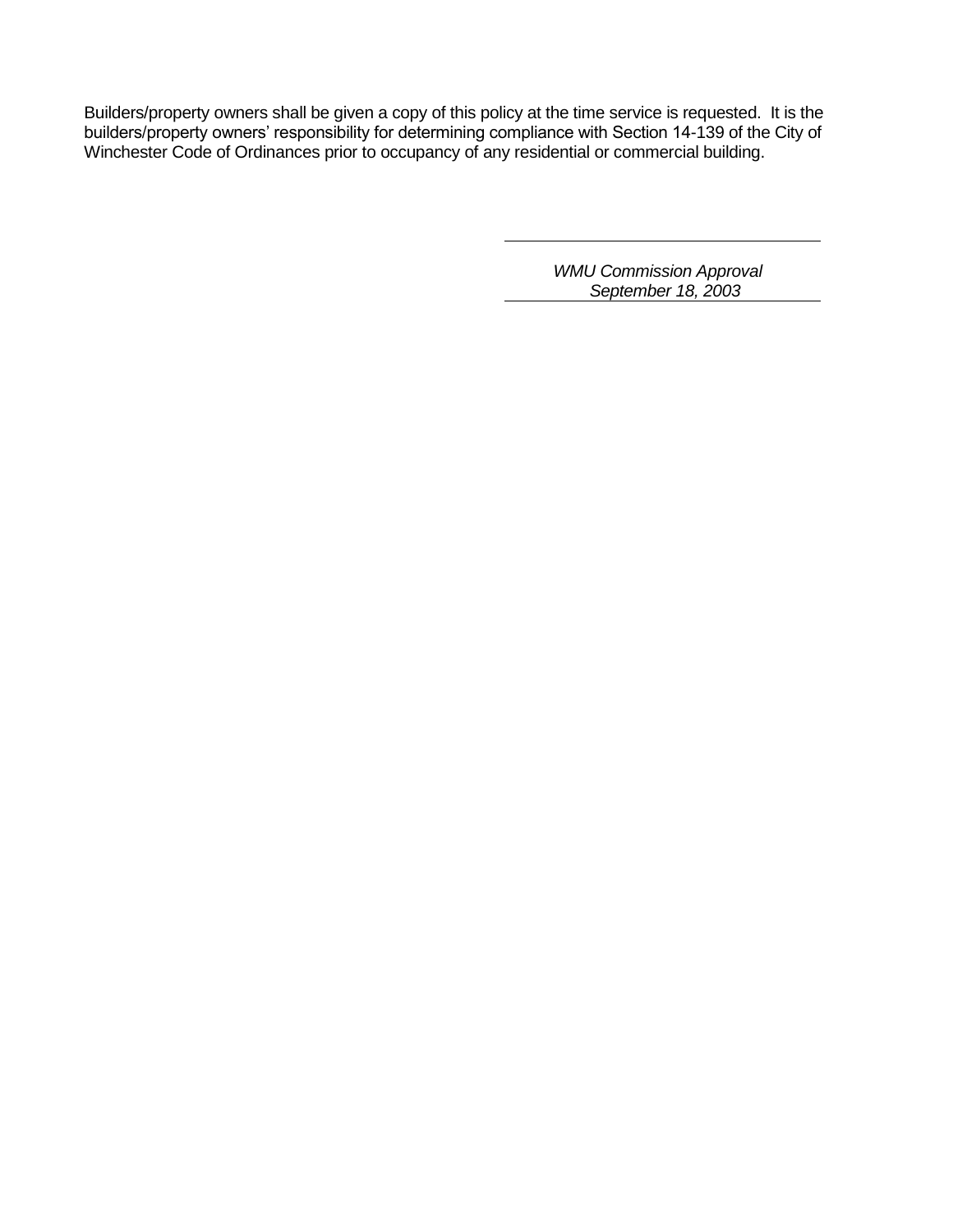Builders/property owners shall be given a copy of this policy at the time service is requested. It is the builders/property owners' responsibility for determining compliance with Section 14-139 of the City of Winchester Code of Ordinances prior to occupancy of any residential or commercial building.

> *WMU Commission Approval September 18, 2003*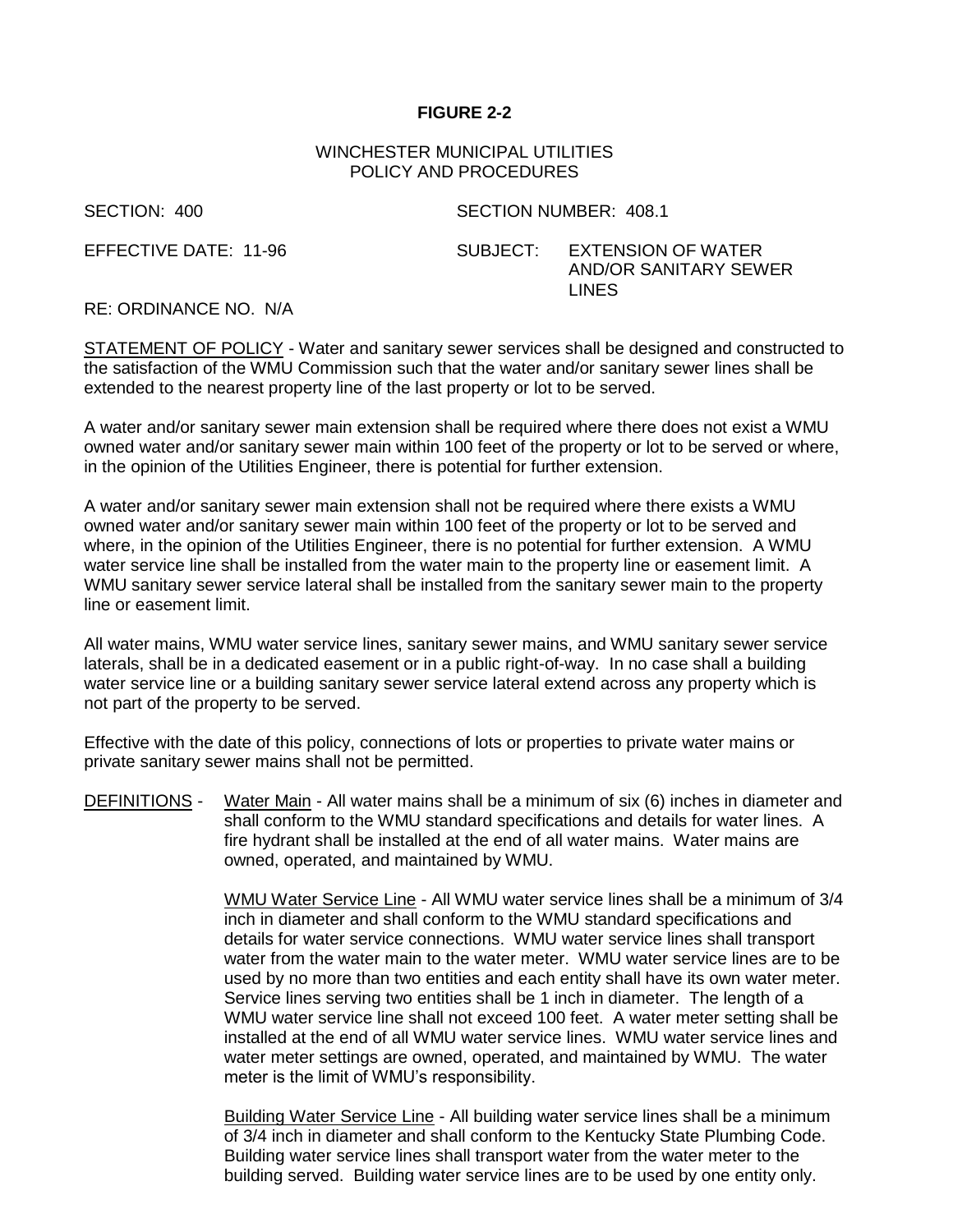## **FIGURE 2-2**

## WINCHESTER MUNICIPAL UTILITIES POLICY AND PROCEDURES

SECTION: 400 SECTION NUMBER: 408.1

EFFECTIVE DATE: 11-96 SUBJECT: EXTENSION OF WATER AND/OR SANITARY SEWER LINES

RE: ORDINANCE NO. N/A

STATEMENT OF POLICY - Water and sanitary sewer services shall be designed and constructed to the satisfaction of the WMU Commission such that the water and/or sanitary sewer lines shall be extended to the nearest property line of the last property or lot to be served.

A water and/or sanitary sewer main extension shall be required where there does not exist a WMU owned water and/or sanitary sewer main within 100 feet of the property or lot to be served or where, in the opinion of the Utilities Engineer, there is potential for further extension.

A water and/or sanitary sewer main extension shall not be required where there exists a WMU owned water and/or sanitary sewer main within 100 feet of the property or lot to be served and where, in the opinion of the Utilities Engineer, there is no potential for further extension. A WMU water service line shall be installed from the water main to the property line or easement limit. A WMU sanitary sewer service lateral shall be installed from the sanitary sewer main to the property line or easement limit.

All water mains, WMU water service lines, sanitary sewer mains, and WMU sanitary sewer service laterals, shall be in a dedicated easement or in a public right-of-way. In no case shall a building water service line or a building sanitary sewer service lateral extend across any property which is not part of the property to be served.

Effective with the date of this policy, connections of lots or properties to private water mains or private sanitary sewer mains shall not be permitted.

DEFINITIONS - Water Main - All water mains shall be a minimum of six (6) inches in diameter and shall conform to the WMU standard specifications and details for water lines. A fire hydrant shall be installed at the end of all water mains. Water mains are owned, operated, and maintained by WMU.

> WMU Water Service Line - All WMU water service lines shall be a minimum of 3/4 inch in diameter and shall conform to the WMU standard specifications and details for water service connections. WMU water service lines shall transport water from the water main to the water meter. WMU water service lines are to be used by no more than two entities and each entity shall have its own water meter. Service lines serving two entities shall be 1 inch in diameter. The length of a WMU water service line shall not exceed 100 feet. A water meter setting shall be installed at the end of all WMU water service lines. WMU water service lines and water meter settings are owned, operated, and maintained by WMU. The water meter is the limit of WMU's responsibility.

Building Water Service Line - All building water service lines shall be a minimum of 3/4 inch in diameter and shall conform to the Kentucky State Plumbing Code. Building water service lines shall transport water from the water meter to the building served. Building water service lines are to be used by one entity only.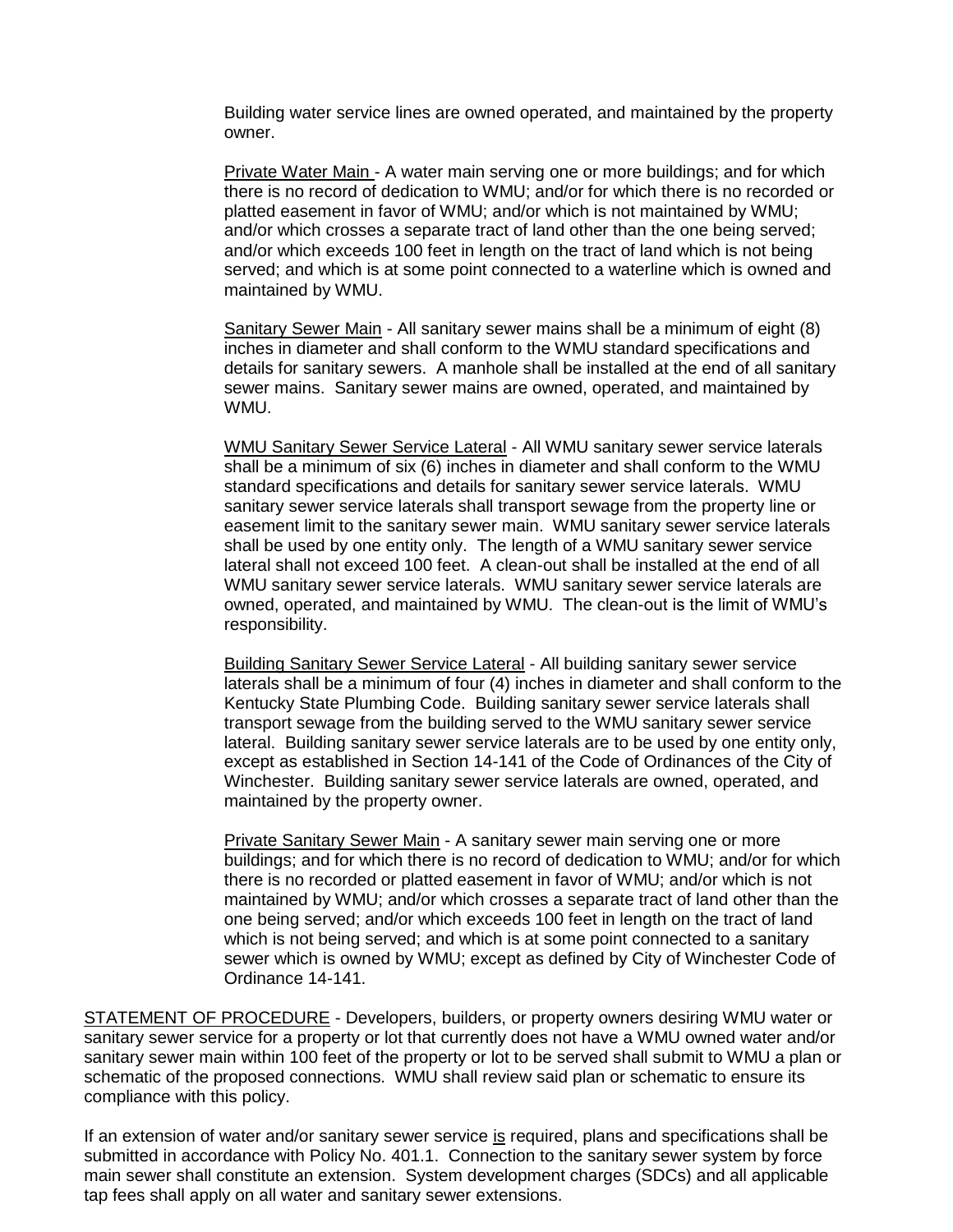Building water service lines are owned operated, and maintained by the property owner.

Private Water Main - A water main serving one or more buildings; and for which there is no record of dedication to WMU; and/or for which there is no recorded or platted easement in favor of WMU; and/or which is not maintained by WMU; and/or which crosses a separate tract of land other than the one being served; and/or which exceeds 100 feet in length on the tract of land which is not being served; and which is at some point connected to a waterline which is owned and maintained by WMU.

Sanitary Sewer Main - All sanitary sewer mains shall be a minimum of eight (8) inches in diameter and shall conform to the WMU standard specifications and details for sanitary sewers. A manhole shall be installed at the end of all sanitary sewer mains. Sanitary sewer mains are owned, operated, and maintained by WMU.

WMU Sanitary Sewer Service Lateral - All WMU sanitary sewer service laterals shall be a minimum of six (6) inches in diameter and shall conform to the WMU standard specifications and details for sanitary sewer service laterals. WMU sanitary sewer service laterals shall transport sewage from the property line or easement limit to the sanitary sewer main. WMU sanitary sewer service laterals shall be used by one entity only. The length of a WMU sanitary sewer service lateral shall not exceed 100 feet. A clean-out shall be installed at the end of all WMU sanitary sewer service laterals. WMU sanitary sewer service laterals are owned, operated, and maintained by WMU. The clean-out is the limit of WMU's responsibility.

Building Sanitary Sewer Service Lateral - All building sanitary sewer service laterals shall be a minimum of four (4) inches in diameter and shall conform to the Kentucky State Plumbing Code. Building sanitary sewer service laterals shall transport sewage from the building served to the WMU sanitary sewer service lateral. Building sanitary sewer service laterals are to be used by one entity only, except as established in Section 14-141 of the Code of Ordinances of the City of Winchester. Building sanitary sewer service laterals are owned, operated, and maintained by the property owner.

Private Sanitary Sewer Main - A sanitary sewer main serving one or more buildings; and for which there is no record of dedication to WMU; and/or for which there is no recorded or platted easement in favor of WMU; and/or which is not maintained by WMU; and/or which crosses a separate tract of land other than the one being served; and/or which exceeds 100 feet in length on the tract of land which is not being served; and which is at some point connected to a sanitary sewer which is owned by WMU; except as defined by City of Winchester Code of Ordinance 14-141.

STATEMENT OF PROCEDURE - Developers, builders, or property owners desiring WMU water or sanitary sewer service for a property or lot that currently does not have a WMU owned water and/or sanitary sewer main within 100 feet of the property or lot to be served shall submit to WMU a plan or schematic of the proposed connections. WMU shall review said plan or schematic to ensure its compliance with this policy.

If an extension of water and/or sanitary sewer service is required, plans and specifications shall be submitted in accordance with Policy No. 401.1. Connection to the sanitary sewer system by force main sewer shall constitute an extension. System development charges (SDCs) and all applicable tap fees shall apply on all water and sanitary sewer extensions.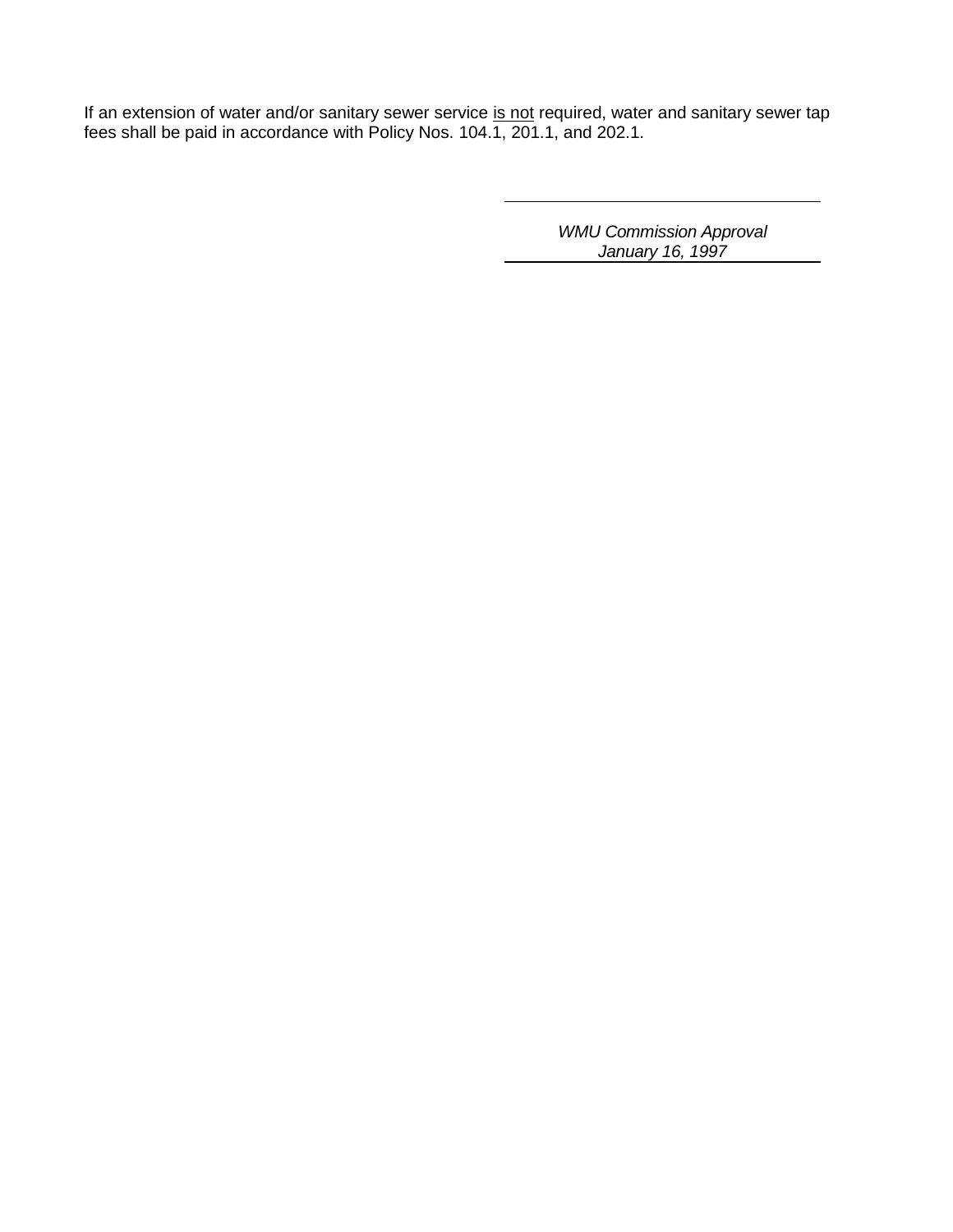If an extension of water and/or sanitary sewer service is not required, water and sanitary sewer tap fees shall be paid in accordance with Policy Nos. 104.1, 201.1, and 202.1.

> *WMU Commission Approval January 16, 1997*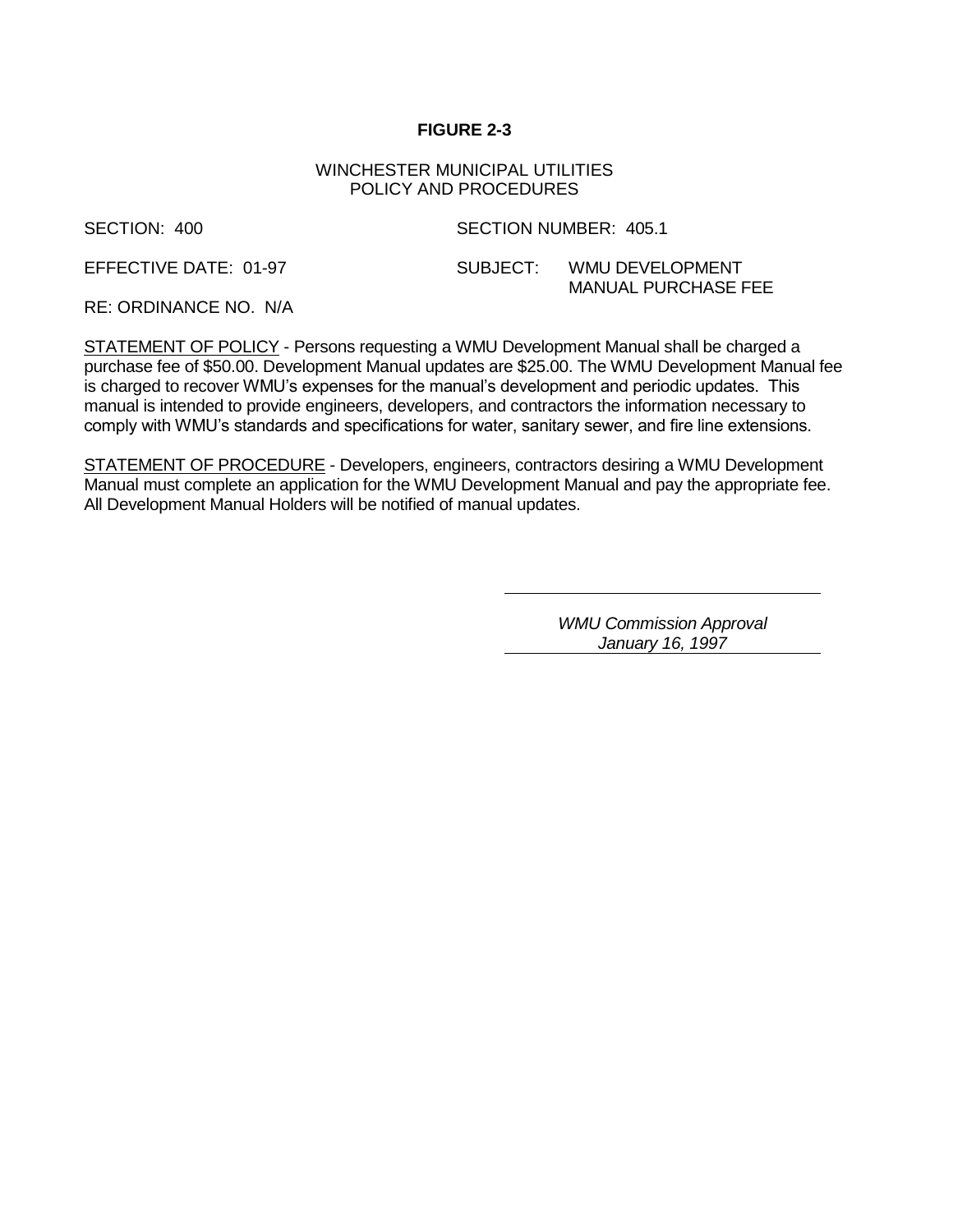## **FIGURE 2-3**

#### WINCHESTER MUNICIPAL UTILITIES POLICY AND PROCEDURES

SECTION: 400 SECTION NUMBER: 405.1

EFFECTIVE DATE: 01-97 SUBJECT: WMU DEVELOPMENT MANUAL PURCHASE FEE

RE: ORDINANCE NO. N/A

STATEMENT OF POLICY - Persons requesting a WMU Development Manual shall be charged a purchase fee of \$50.00. Development Manual updates are \$25.00. The WMU Development Manual fee is charged to recover WMU's expenses for the manual's development and periodic updates. This manual is intended to provide engineers, developers, and contractors the information necessary to comply with WMU's standards and specifications for water, sanitary sewer, and fire line extensions.

STATEMENT OF PROCEDURE - Developers, engineers, contractors desiring a WMU Development Manual must complete an application for the WMU Development Manual and pay the appropriate fee. All Development Manual Holders will be notified of manual updates.

> *WMU Commission Approval January 16, 1997*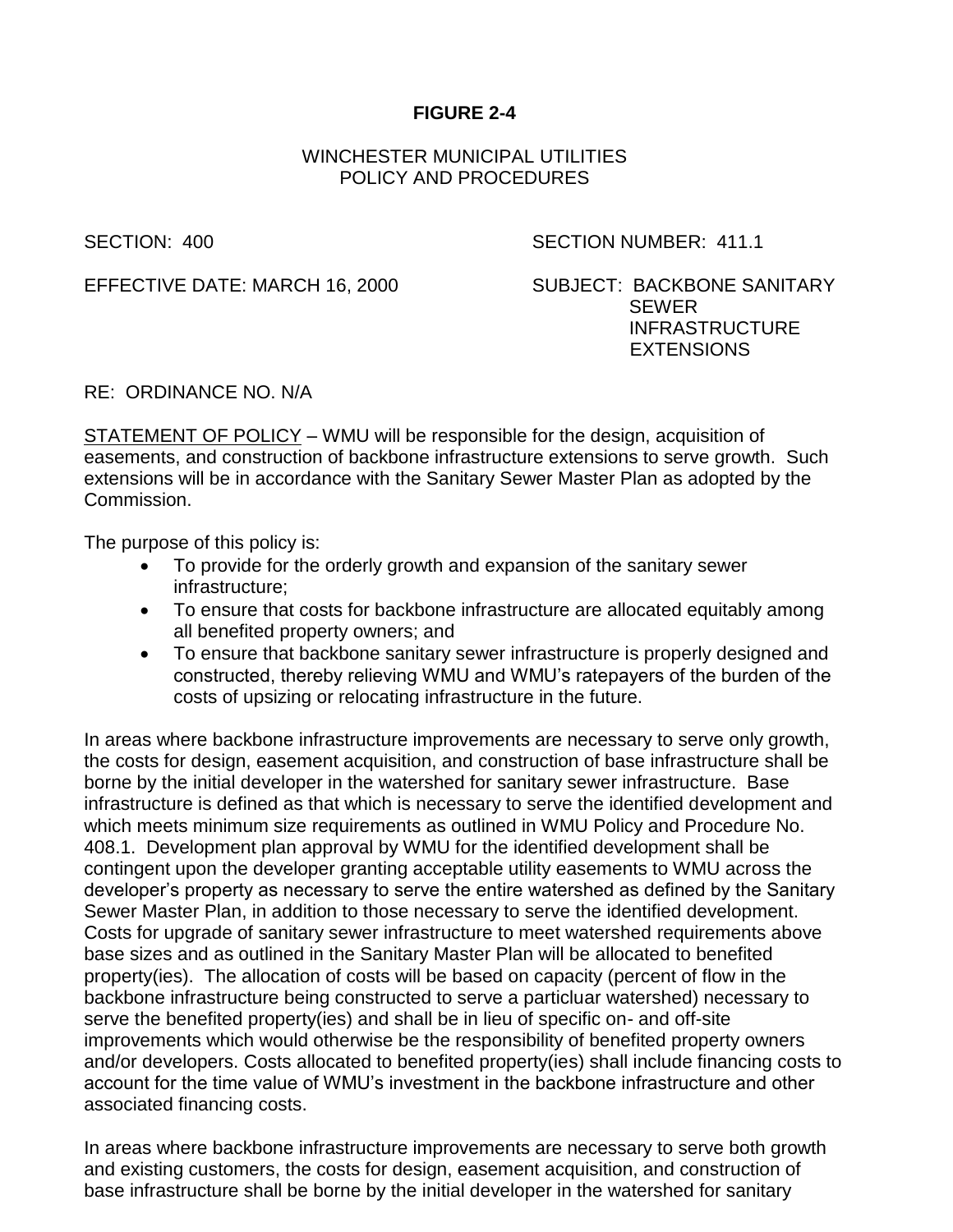# **FIGURE 2-4**

## WINCHESTER MUNICIPAL UTILITIES POLICY AND PROCEDURES

SECTION: 400 SECTION NUMBER: 411.1

EFFECTIVE DATE: MARCH 16, 2000 SUBJECT: BACKBONE SANITARY

SEWER INFRASTRUCTURE **EXTENSIONS** 

RE: ORDINANCE NO. N/A

STATEMENT OF POLICY – WMU will be responsible for the design, acquisition of easements, and construction of backbone infrastructure extensions to serve growth. Such extensions will be in accordance with the Sanitary Sewer Master Plan as adopted by the Commission.

The purpose of this policy is:

- To provide for the orderly growth and expansion of the sanitary sewer infrastructure;
- To ensure that costs for backbone infrastructure are allocated equitably among all benefited property owners; and
- To ensure that backbone sanitary sewer infrastructure is properly designed and constructed, thereby relieving WMU and WMU's ratepayers of the burden of the costs of upsizing or relocating infrastructure in the future.

In areas where backbone infrastructure improvements are necessary to serve only growth, the costs for design, easement acquisition, and construction of base infrastructure shall be borne by the initial developer in the watershed for sanitary sewer infrastructure. Base infrastructure is defined as that which is necessary to serve the identified development and which meets minimum size requirements as outlined in WMU Policy and Procedure No. 408.1. Development plan approval by WMU for the identified development shall be contingent upon the developer granting acceptable utility easements to WMU across the developer's property as necessary to serve the entire watershed as defined by the Sanitary Sewer Master Plan, in addition to those necessary to serve the identified development. Costs for upgrade of sanitary sewer infrastructure to meet watershed requirements above base sizes and as outlined in the Sanitary Master Plan will be allocated to benefited property(ies). The allocation of costs will be based on capacity (percent of flow in the backbone infrastructure being constructed to serve a particluar watershed) necessary to serve the benefited property(ies) and shall be in lieu of specific on- and off-site improvements which would otherwise be the responsibility of benefited property owners and/or developers. Costs allocated to benefited property(ies) shall include financing costs to account for the time value of WMU's investment in the backbone infrastructure and other associated financing costs.

In areas where backbone infrastructure improvements are necessary to serve both growth and existing customers, the costs for design, easement acquisition, and construction of base infrastructure shall be borne by the initial developer in the watershed for sanitary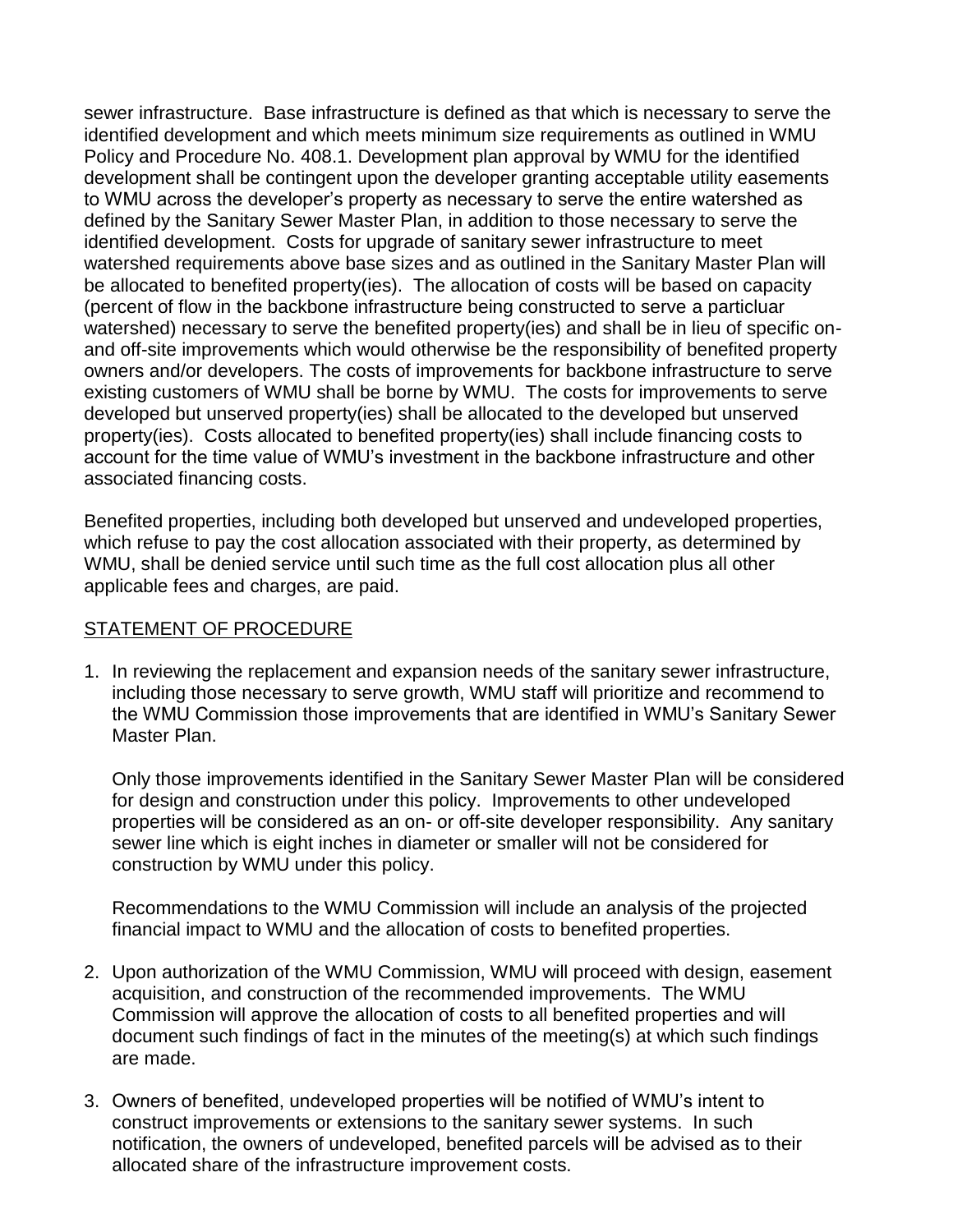sewer infrastructure. Base infrastructure is defined as that which is necessary to serve the identified development and which meets minimum size requirements as outlined in WMU Policy and Procedure No. 408.1. Development plan approval by WMU for the identified development shall be contingent upon the developer granting acceptable utility easements to WMU across the developer's property as necessary to serve the entire watershed as defined by the Sanitary Sewer Master Plan, in addition to those necessary to serve the identified development. Costs for upgrade of sanitary sewer infrastructure to meet watershed requirements above base sizes and as outlined in the Sanitary Master Plan will be allocated to benefited property(ies). The allocation of costs will be based on capacity (percent of flow in the backbone infrastructure being constructed to serve a particluar watershed) necessary to serve the benefited property(ies) and shall be in lieu of specific onand off-site improvements which would otherwise be the responsibility of benefited property owners and/or developers. The costs of improvements for backbone infrastructure to serve existing customers of WMU shall be borne by WMU. The costs for improvements to serve developed but unserved property(ies) shall be allocated to the developed but unserved property(ies). Costs allocated to benefited property(ies) shall include financing costs to account for the time value of WMU's investment in the backbone infrastructure and other associated financing costs.

Benefited properties, including both developed but unserved and undeveloped properties, which refuse to pay the cost allocation associated with their property, as determined by WMU, shall be denied service until such time as the full cost allocation plus all other applicable fees and charges, are paid.

## STATEMENT OF PROCEDURE

1. In reviewing the replacement and expansion needs of the sanitary sewer infrastructure, including those necessary to serve growth, WMU staff will prioritize and recommend to the WMU Commission those improvements that are identified in WMU's Sanitary Sewer Master Plan.

Only those improvements identified in the Sanitary Sewer Master Plan will be considered for design and construction under this policy. Improvements to other undeveloped properties will be considered as an on- or off-site developer responsibility. Any sanitary sewer line which is eight inches in diameter or smaller will not be considered for construction by WMU under this policy.

Recommendations to the WMU Commission will include an analysis of the projected financial impact to WMU and the allocation of costs to benefited properties.

- 2. Upon authorization of the WMU Commission, WMU will proceed with design, easement acquisition, and construction of the recommended improvements. The WMU Commission will approve the allocation of costs to all benefited properties and will document such findings of fact in the minutes of the meeting(s) at which such findings are made.
- 3. Owners of benefited, undeveloped properties will be notified of WMU's intent to construct improvements or extensions to the sanitary sewer systems. In such notification, the owners of undeveloped, benefited parcels will be advised as to their allocated share of the infrastructure improvement costs.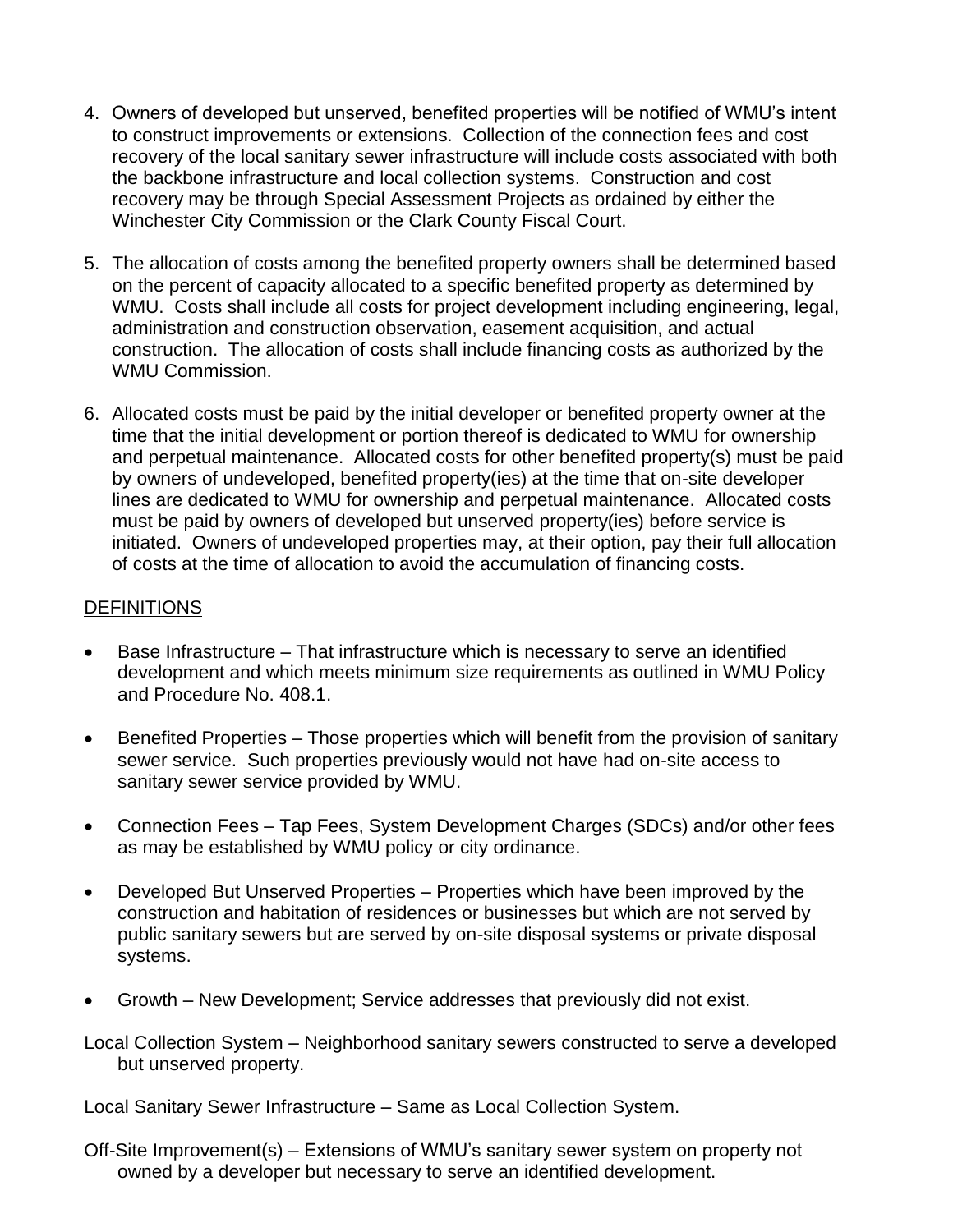- 4. Owners of developed but unserved, benefited properties will be notified of WMU's intent to construct improvements or extensions. Collection of the connection fees and cost recovery of the local sanitary sewer infrastructure will include costs associated with both the backbone infrastructure and local collection systems. Construction and cost recovery may be through Special Assessment Projects as ordained by either the Winchester City Commission or the Clark County Fiscal Court.
- 5. The allocation of costs among the benefited property owners shall be determined based on the percent of capacity allocated to a specific benefited property as determined by WMU. Costs shall include all costs for project development including engineering, legal, administration and construction observation, easement acquisition, and actual construction. The allocation of costs shall include financing costs as authorized by the WMU Commission.
- 6. Allocated costs must be paid by the initial developer or benefited property owner at the time that the initial development or portion thereof is dedicated to WMU for ownership and perpetual maintenance. Allocated costs for other benefited property(s) must be paid by owners of undeveloped, benefited property(ies) at the time that on-site developer lines are dedicated to WMU for ownership and perpetual maintenance. Allocated costs must be paid by owners of developed but unserved property(ies) before service is initiated. Owners of undeveloped properties may, at their option, pay their full allocation of costs at the time of allocation to avoid the accumulation of financing costs.

## DEFINITIONS

- Base Infrastructure That infrastructure which is necessary to serve an identified development and which meets minimum size requirements as outlined in WMU Policy and Procedure No. 408.1.
- Benefited Properties Those properties which will benefit from the provision of sanitary sewer service. Such properties previously would not have had on-site access to sanitary sewer service provided by WMU.
- Connection Fees Tap Fees, System Development Charges (SDCs) and/or other fees as may be established by WMU policy or city ordinance.
- Developed But Unserved Properties Properties which have been improved by the construction and habitation of residences or businesses but which are not served by public sanitary sewers but are served by on-site disposal systems or private disposal systems.
- Growth New Development; Service addresses that previously did not exist.
- Local Collection System Neighborhood sanitary sewers constructed to serve a developed but unserved property.

Local Sanitary Sewer Infrastructure – Same as Local Collection System.

Off-Site Improvement(s) – Extensions of WMU's sanitary sewer system on property not owned by a developer but necessary to serve an identified development.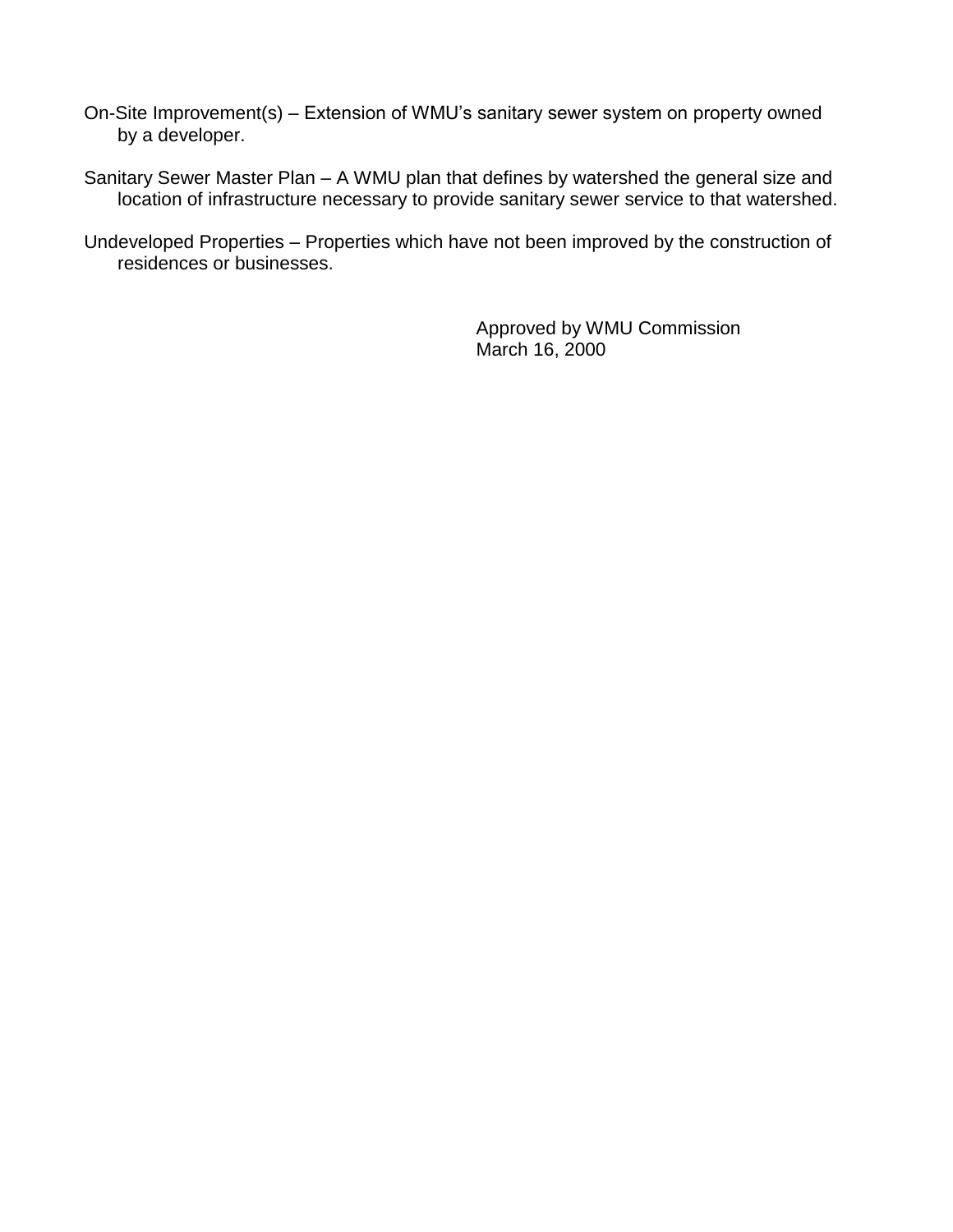- On-Site Improvement(s) Extension of WMU's sanitary sewer system on property owned by a developer.
- Sanitary Sewer Master Plan A WMU plan that defines by watershed the general size and location of infrastructure necessary to provide sanitary sewer service to that watershed.
- Undeveloped Properties Properties which have not been improved by the construction of residences or businesses.

Approved by WMU Commission March 16, 2000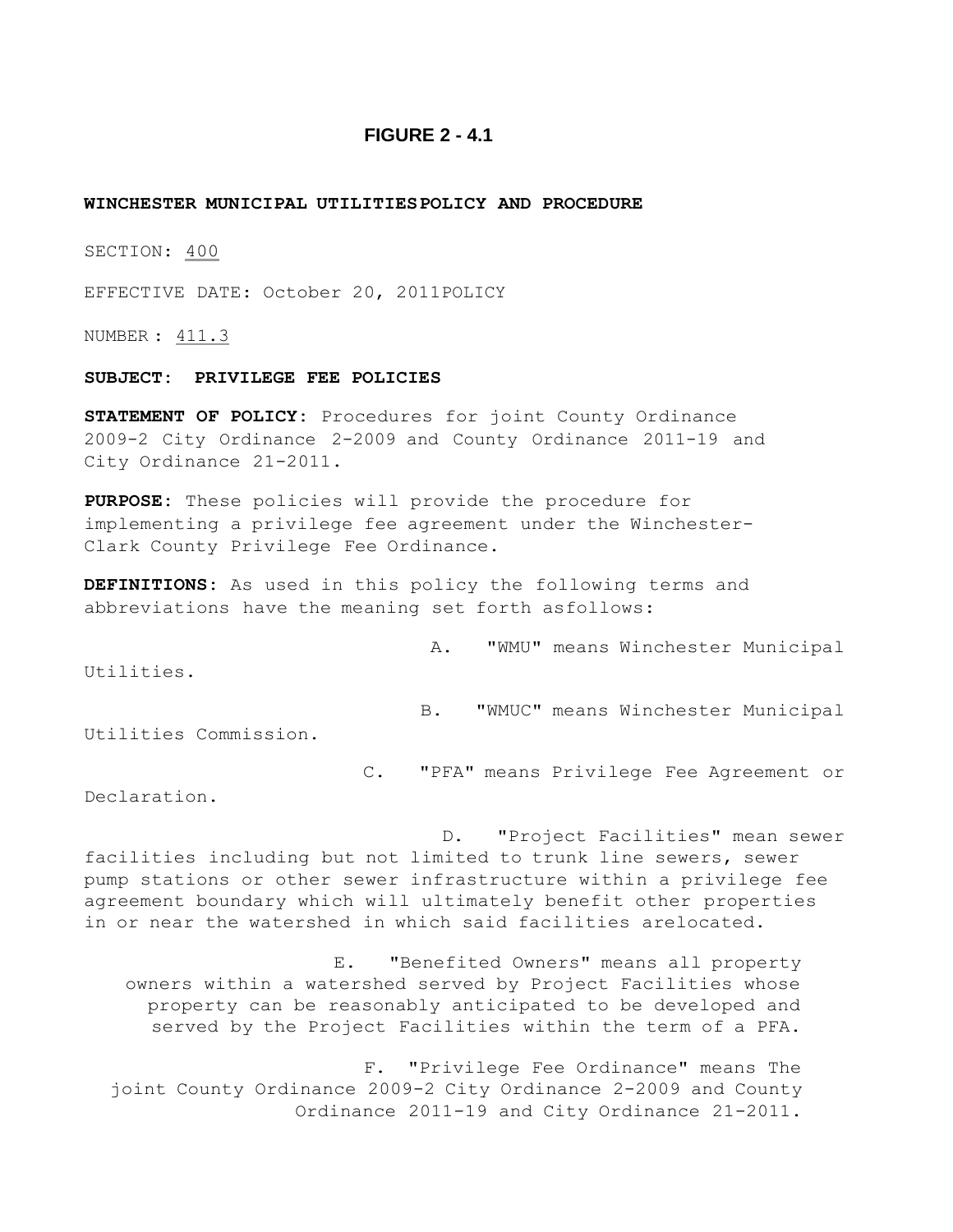#### **FIGURE 2 - 4.1**

#### **WINCHESTER MUNICIPAL UTILITIES POLICY AND PROCEDURE**

SECTION: 400

EFFECTIVE DATE: October 20, 2011POLICY

NUMBER : 411.3

#### **SUBJECT: PRIVILEGE FEE POLICIES**

**STATEMENT OF POLICY:** Procedures for joint County Ordinance 2009-2 City Ordinance 2-2009 and County Ordinance 2011-19 and City Ordinance 21-2011.

**PURPOSE:** These policies will provide the procedure for implementing a privilege fee agreement under the Winchester-Clark County Privilege Fee Ordinance.

**DEFINITIONS:** As used in this policy the following terms and abbreviations have the meaning set forth asfollows:

A. "WMU" means Winchester Municipal

Utilities.

B. "WMUC" means Winchester Municipal

Utilities Commission.

C. "PFA" means Privilege Fee Agreement or

Declaration.

D. "Project Facilities" mean sewer facilities including but not limited to trunk line sewers, sewer pump stations or other sewer infrastructure within a privilege fee agreement boundary which will ultimately benefit other properties in or near the watershed in which said facilities arelocated.

E. "Benefited Owners" means all property owners within a watershed served by Project Facilities whose property can be reasonably anticipated to be developed and served by the Project Facilities within the term of a PFA.

F. "Privilege Fee Ordinance" means The joint County Ordinance 2009-2 City Ordinance 2-2009 and County Ordinance 2011-19 and City Ordinance 21-2011.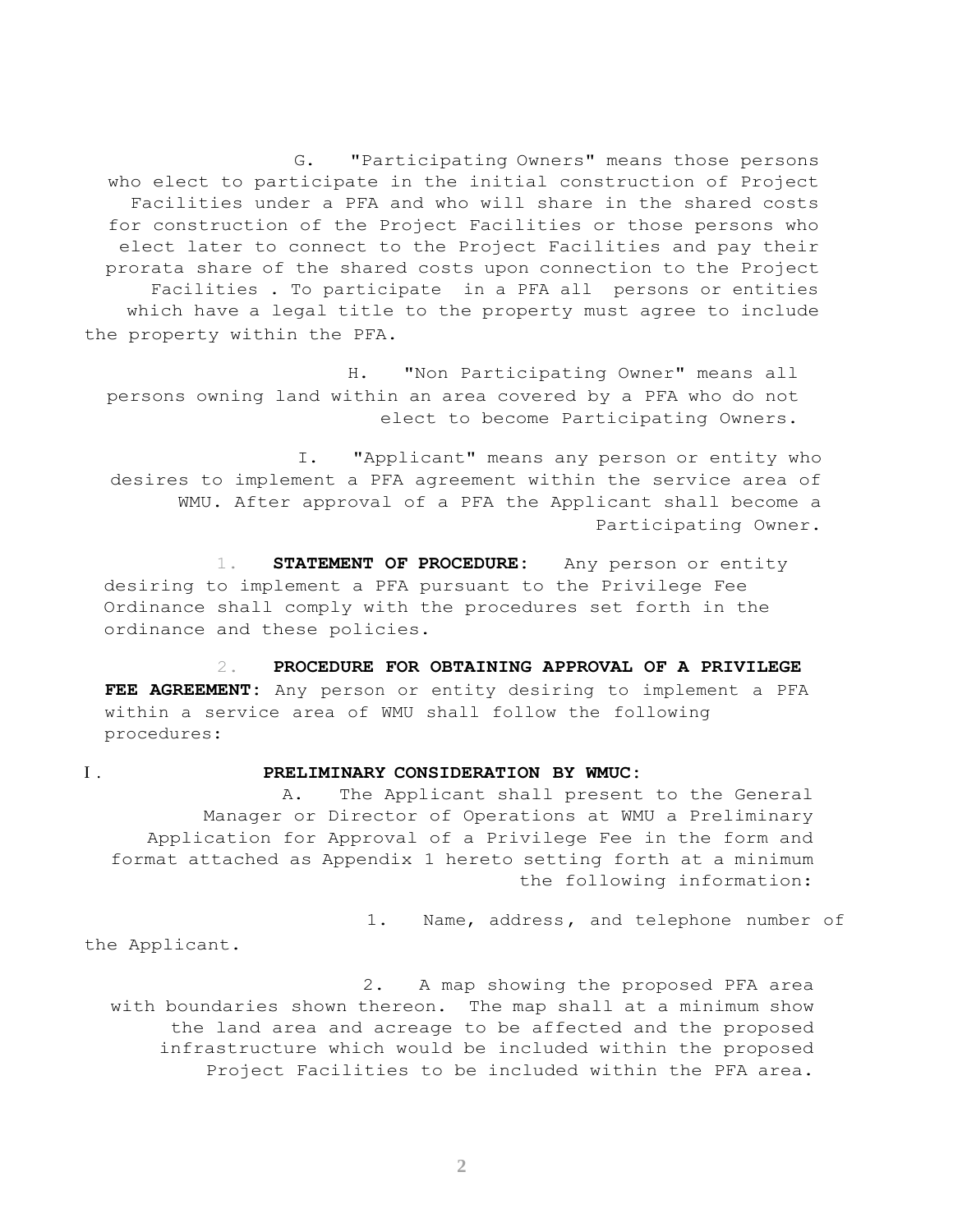G. "Participating Owners" means those persons who elect to participate in the initial construction of Project Facilities under a PFA and who will share in the shared costs for construction of the Project Facilities or those persons who elect later to connect to the Project Facilities and pay their prorata share of the shared costs upon connection to the Project Facilities . To participate in a PFA all persons or entities which have a legal title to the property must agree to include the property within the PFA.

H. "Non Participating Owner" means all persons owning land within an area covered by a PFA who do not elect to become Participating Owners.

I. "Applicant" means any person or entity who desires to implement a PFA agreement within the service area of WMU. After approval of a PFA the Applicant shall become a Participating Owner.

1. **STATEMENT OF PROCEDURE:** Any person or entity desiring to implement a PFA pursuant to the Privilege Fee Ordinance shall comply with the procedures set forth in the ordinance and these policies.

2. **PROCEDURE FOR OBTAINING APPROVAL OF A PRIVILEGE FEE AGREEMENT:** Any person or entity desiring to implement a PFA within a service area of WMU shall follow the following procedures:

#### I . **PRELIMINARY CONSIDERATION BY WMUC:**

A. The Applicant shall present to the General Manager or Director of Operations at WMU a Preliminary Application for Approval of a Privilege Fee in the form and format attached as Appendix 1 hereto setting forth at a minimum the following information:

1. Name, address, and telephone number of

the Applicant.

2. A map showing the proposed PFA area with boundaries shown thereon. The map shall at a minimum show the land area and acreage to be affected and the proposed infrastructure which would be included within the proposed Project Facilities to be included within the PFA area.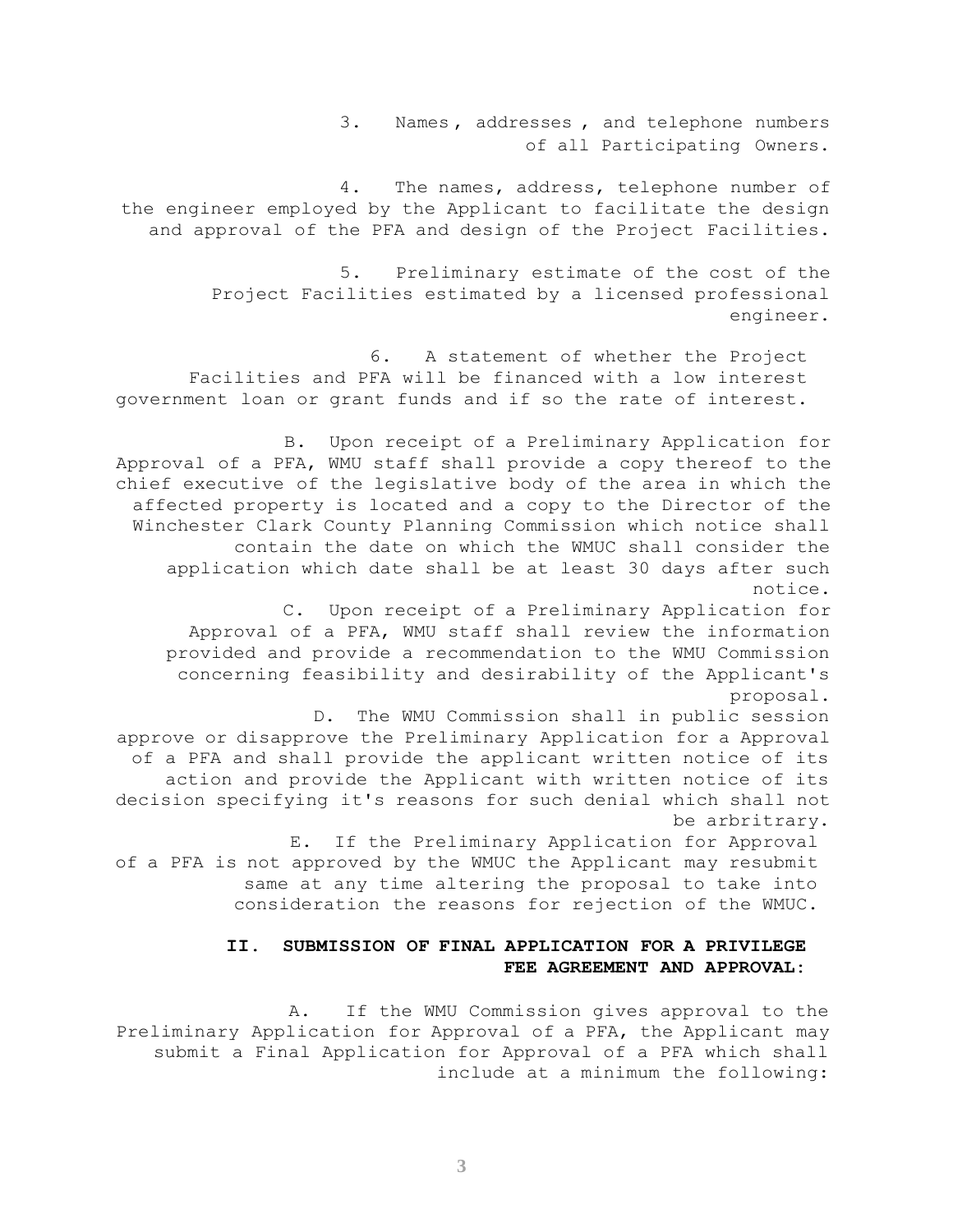3. Names , addresses , and telephone numbers of all Participating Owners.

4. The names, address, telephone number of the engineer employed by the Applicant to facilitate the design and approval of the PFA and design of the Project Facilities.

> 5. Preliminary estimate of the cost of the Project Facilities estimated by a licensed professional engineer.

6. A statement of whether the Project Facilities and PFA will be financed with a low interest government loan or grant funds and if so the rate of interest.

B. Upon receipt of a Preliminary Application for Approval of a PFA, WMU staff shall provide a copy thereof to the chief executive of the legislative body of the area in which the affected property is located and a copy to the Director of the Winchester Clark County Planning Commission which notice shall contain the date on which the WMUC shall consider the application which date shall be at least 30 days after such notice.

C. Upon receipt of a Preliminary Application for Approval of a PFA, WMU staff shall review the information provided and provide a recommendation to the WMU Commission concerning feasibility and desirability of the Applicant's proposal.

D. The WMU Commission shall in public session approve or disapprove the Preliminary Application for a Approval of a PFA and shall provide the applicant written notice of its action and provide the Applicant with written notice of its decision specifying it's reasons for such denial which shall not be arbritrary.

E. If the Preliminary Application for Approval of a PFA is not approved by the WMUC the Applicant may resubmit same at any time altering the proposal to take into consideration the reasons for rejection of the WMUC.

#### **II. SUBMISSION OF FINAL APPLICATION FOR A PRIVILEGE FEE AGREEMENT AND APPROVAL:**

A. If the WMU Commission gives approval to the Preliminary Application for Approval of a PFA, the Applicant may submit a Final Application for Approval of a PFA which shall include at a minimum the following: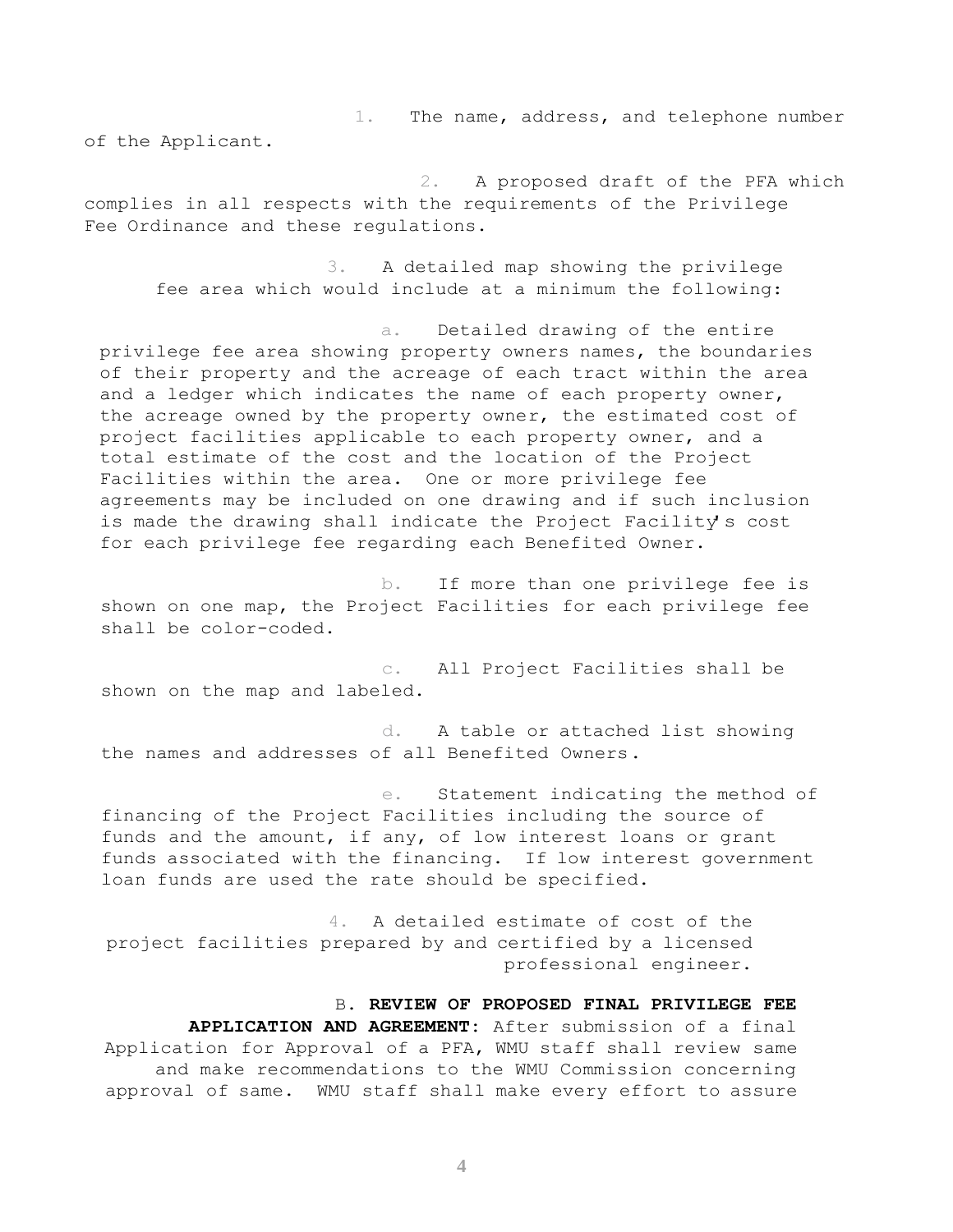1. The name, address, and telephone number

of the Applicant.

2. A proposed draft of the PFA which complies in all respects with the requirements of the Privilege Fee Ordinance and these regulations.

3. A detailed map showing the privilege fee area which would include at a minimum the following:

a. Detailed drawing of the entire privilege fee area showing property owners names, the boundaries of their property and the acreage of each tract within the area and a ledger which indicates the name of each property owner, the acreage owned by the property owner, the estimated cost of project facilities applicable to each property owner, and a total estimate of the cost and the location of the Project Facilities within the area. One or more privilege fee agreements may be included on one drawing and if such inclusion is made the drawing shall indicate the Project Facility's cost for each privilege fee regarding each Benefited Owner.

b. If more than one privilege fee is shown on one map, the Project Facilities for each privilege fee shall be color-coded.

c. All Project Facilities shall be shown on the map and labeled.

d. A table or attached list showing the names and addresses of all Benefited Owners.

e. Statement indicating the method of financing of the Project Facilities including the source of funds and the amount, if any, of low interest loans or grant funds associated with the financing. If low interest government loan funds are used the rate should be specified.

4. A detailed estimate of cost of the project facilities prepared by and certified by a licensed professional engineer.

#### B. **REVIEW OF PROPOSED FINAL PRIVILEGE FEE**

**APPLICATION AND AGREEMENT:** After submission of a final Application for Approval of a PFA, WMU staff shall review same and make recommendations to the WMU Commission concerning approval of same. WMU staff shall make every effort to assure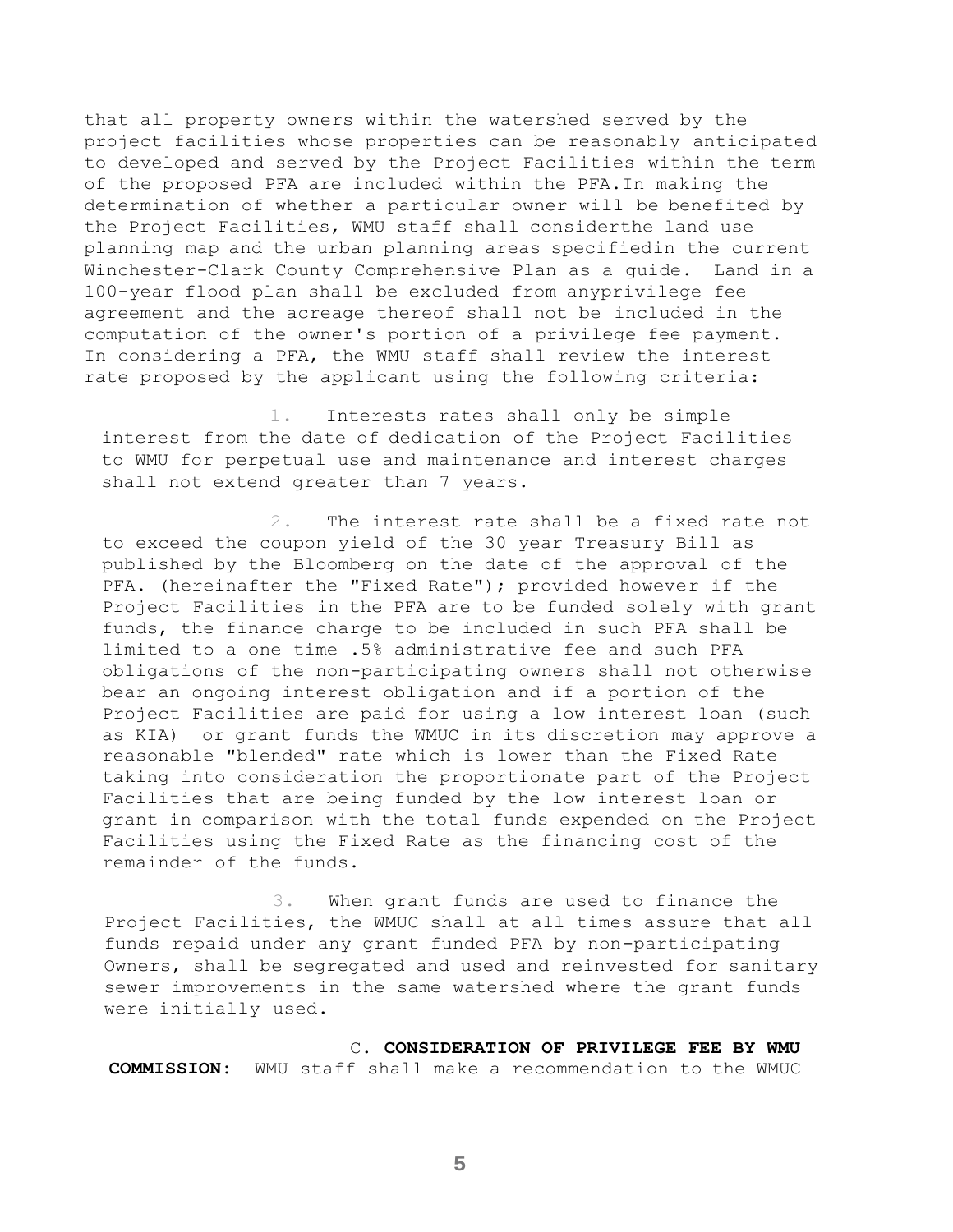that all property owners within the watershed served by the project facilities whose properties can be reasonably anticipated to developed and served by the Project Facilities within the term of the proposed PFA are included within the PFA.In making the determination of whether a particular owner will be benefited by the Project Facilities, WMU staff shall considerthe land use planning map and the urban planning areas specifiedin the current Winchester-Clark County Comprehensive Plan as a guide. Land in a 100-year flood plan shall be excluded from anyprivilege fee agreement and the acreage thereof shall not be included in the computation of the owner's portion of a privilege fee payment. In considering a PFA, the WMU staff shall review the interest rate proposed by the applicant using the following criteria:

1. Interests rates shall only be simple interest from the date of dedication of the Project Facilities to WMU for perpetual use and maintenance and interest charges shall not extend greater than 7 years.

2. The interest rate shall be a fixed rate not to exceed the coupon yield of the 30 year Treasury Bill as published by the Bloomberg on the date of the approval of the PFA. (hereinafter the "Fixed Rate"); provided however if the Project Facilities in the PFA are to be funded solely with grant funds, the finance charge to be included in such PFA shall be limited to a one time .5% administrative fee and such PFA obligations of the non-participating owners shall not otherwise bear an ongoing interest obligation and if a portion of the Project Facilities are paid for using a low interest loan (such as KIA) or grant funds the WMUC in its discretion may approve a reasonable "blended" rate which is lower than the Fixed Rate taking into consideration the proportionate part of the Project Facilities that are being funded by the low interest loan or grant in comparison with the total funds expended on the Project Facilities using the Fixed Rate as the financing cost of the remainder of the funds.

3. When grant funds are used to finance the Project Facilities, the WMUC shall at all times assure that all funds repaid under any grant funded PFA by non-participating Owners, shall be segregated and used and reinvested for sanitary sewer improvements in the same watershed where the grant funds were initially used.

C. **CONSIDERATION OF PRIVILEGE FEE BY WMU COMMISSION:** WMU staff shall make a recommendation to the WMUC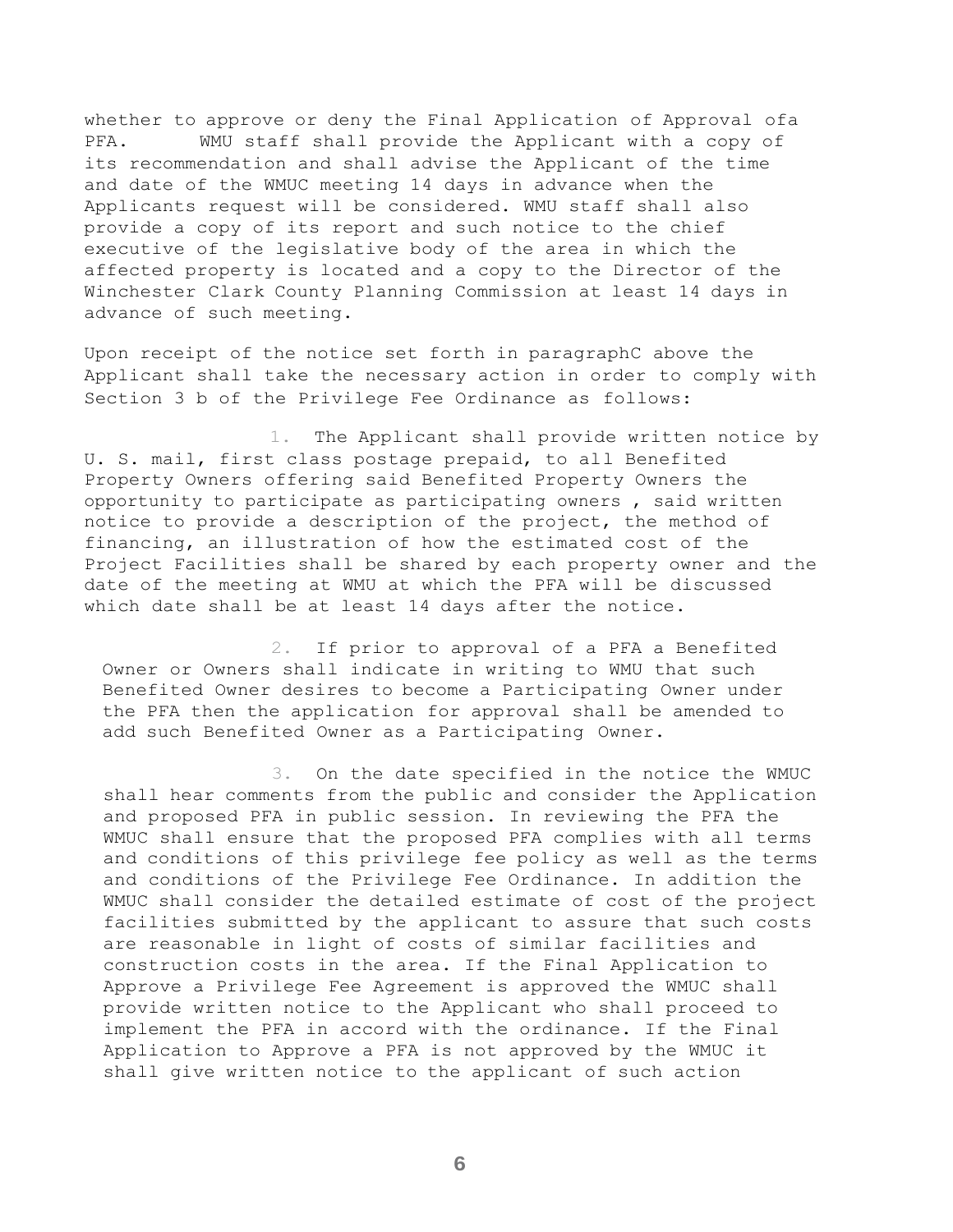whether to approve or deny the Final Application of Approval ofa PFA. WMU staff shall provide the Applicant with a copy of its recommendation and shall advise the Applicant of the time and date of the WMUC meeting 14 days in advance when the Applicants request will be considered. WMU staff shall also provide a copy of its report and such notice to the chief executive of the legislative body of the area in which the affected property is located and a copy to the Director of the Winchester Clark County Planning Commission at least 14 days in advance of such meeting.

Upon receipt of the notice set forth in paragraphC above the Applicant shall take the necessary action in order to comply with Section 3 b of the Privilege Fee Ordinance as follows:

1. The Applicant shall provide written notice by U. S. mail, first class postage prepaid, to all Benefited Property Owners offering said Benefited Property Owners the opportunity to participate as participating owners , said written notice to provide a description of the project, the method of financing, an illustration of how the estimated cost of the Project Facilities shall be shared by each property owner and the date of the meeting at WMU at which the PFA will be discussed which date shall be at least 14 days after the notice.

2. If prior to approval of a PFA a Benefited Owner or Owners shall indicate in writing to WMU that such Benefited Owner desires to become a Participating Owner under the PFA then the application for approval shall be amended to add such Benefited Owner as a Participating Owner.

3. On the date specified in the notice the WMUC shall hear comments from the public and consider the Application and proposed PFA in public session. In reviewing the PFA the WMUC shall ensure that the proposed PFA complies with all terms and conditions of this privilege fee policy as well as the terms and conditions of the Privilege Fee Ordinance. In addition the WMUC shall consider the detailed estimate of cost of the project facilities submitted by the applicant to assure that such costs are reasonable in light of costs of similar facilities and construction costs in the area. If the Final Application to Approve a Privilege Fee Agreement is approved the WMUC shall provide written notice to the Applicant who shall proceed to implement the PFA in accord with the ordinance. If the Final Application to Approve a PFA is not approved by the WMUC it shall give written notice to the applicant of such action

**6**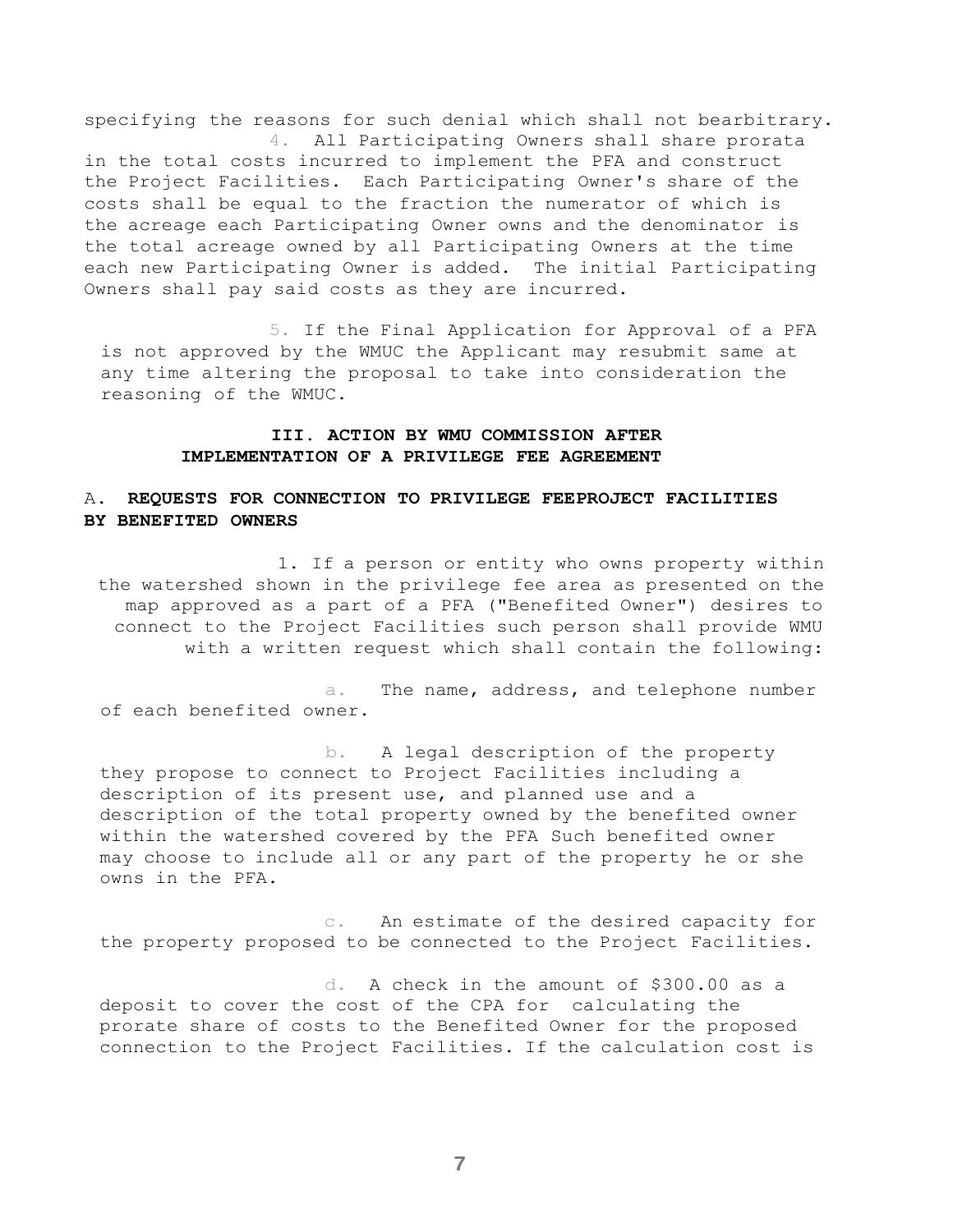specifying the reasons for such denial which shall not bearbitrary. 4. All Participating Owners shall share prorata

in the total costs incurred to implement the PFA and construct the Project Facilities. Each Participating Owner's share of the costs shall be equal to the fraction the numerator of which is the acreage each Participating Owner owns and the denominator is the total acreage owned by all Participating Owners at the time each new Participating Owner is added. The initial Participating Owners shall pay said costs as they are incurred.

5. If the Final Application for Approval of a PFA is not approved by the WMUC the Applicant may resubmit same at any time altering the proposal to take into consideration the reasoning of the WMUC.

#### **III. ACTION BY WMU COMMISSION AFTER IMPLEMENTATION OF A PRIVILEGE FEE AGREEMENT**

## A. **REQUESTS FOR CONNECTION TO PRIVILEGE FEEPROJECT FACILITIES BY BENEFITED OWNERS**

1. If a person or entity who owns property within the watershed shown in the privilege fee area as presented on the map approved as a part of a PFA ("Benefited Owner") desires to connect to the Project Facilities such person shall provide WMU with a written request which shall contain the following:

a. The name, address, and telephone number of each benefited owner.

b. A legal description of the property they propose to connect to Project Facilities including a description of its present use, and planned use and a description of the total property owned by the benefited owner within the watershed covered by the PFA Such benefited owner may choose to include all or any part of the property he or she owns in the PFA.

c. An estimate of the desired capacity for the property proposed to be connected to the Project Facilities.

d. A check in the amount of \$300.00 as a deposit to cover the cost of the CPA for calculating the prorate share of costs to the Benefited Owner for the proposed connection to the Project Facilities. If the calculation cost is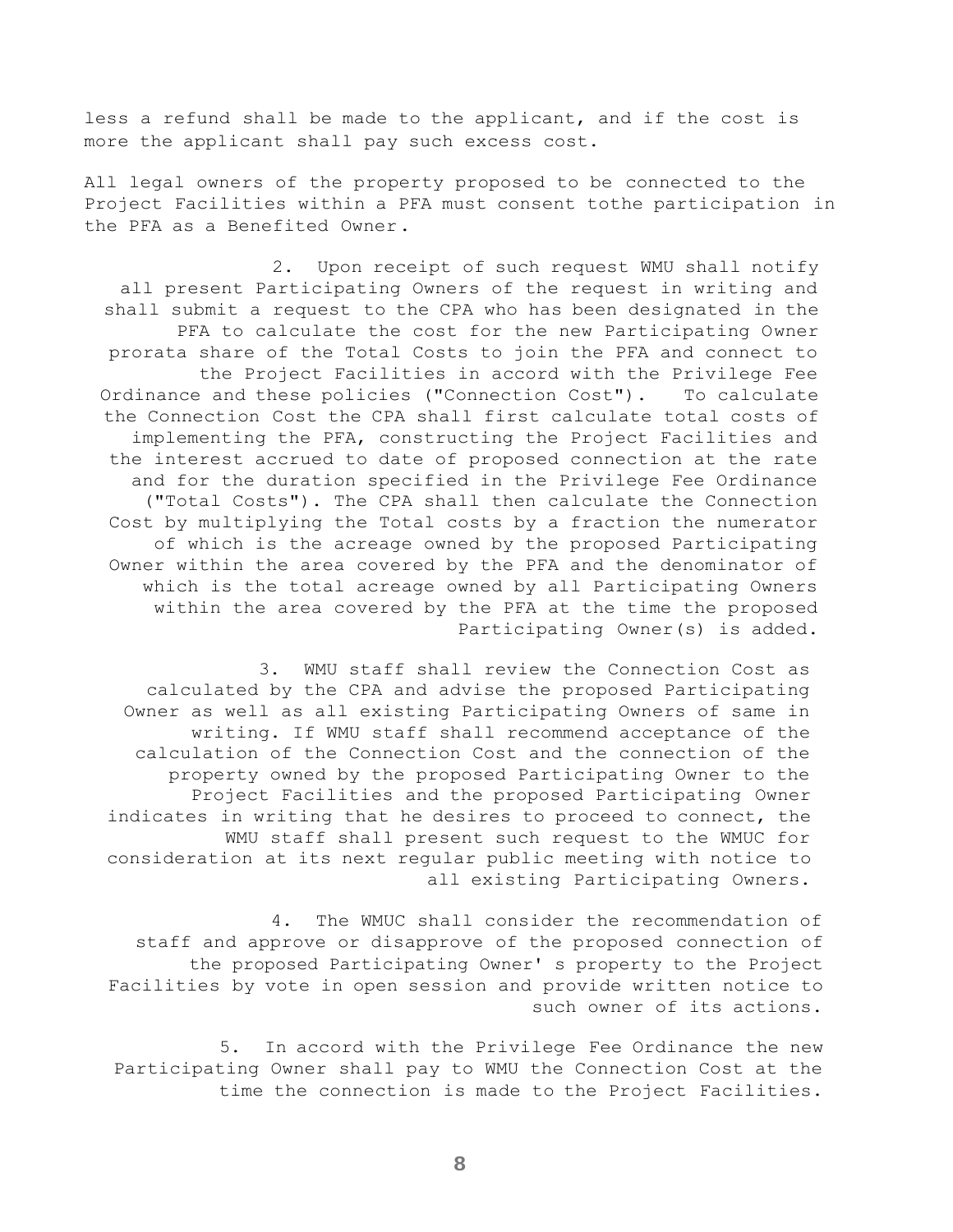less a refund shall be made to the applicant, and if the cost is more the applicant shall pay such excess cost.

All legal owners of the property proposed to be connected to the Project Facilities within a PFA must consent tothe participation in the PFA as a Benefited Owner.

2. Upon receipt of such request WMU shall notify all present Participating Owners of the request in writing and shall submit a request to the CPA who has been designated in the PFA to calculate the cost for the new Participating Owner prorata share of the Total Costs to join the PFA and connect to the Project Facilities in accord with the Privilege Fee Ordinance and these policies ("Connection Cost"). To calculate the Connection Cost the CPA shall first calculate total costs of implementing the PFA, constructing the Project Facilities and the interest accrued to date of proposed connection at the rate and for the duration specified in the Privilege Fee Ordinance ("Total Costs"). The CPA shall then calculate the Connection Cost by multiplying the Total costs by a fraction the numerator of which is the acreage owned by the proposed Participating Owner within the area covered by the PFA and the denominator of which is the total acreage owned by all Participating Owners within the area covered by the PFA at the time the proposed Participating Owner(s) is added.

3. WMU staff shall review the Connection Cost as calculated by the CPA and advise the proposed Participating Owner as well as all existing Participating Owners of same in writing. If WMU staff shall recommend acceptance of the calculation of the Connection Cost and the connection of the property owned by the proposed Participating Owner to the Project Facilities and the proposed Participating Owner indicates in writing that he desires to proceed to connect, the WMU staff shall present such request to the WMUC for consideration at its next regular public meeting with notice to all existing Participating Owners.

4. The WMUC shall consider the recommendation of staff and approve or disapprove of the proposed connection of the proposed Participating Owner' s property to the Project Facilities by vote in open session and provide written notice to such owner of its actions.

5. In accord with the Privilege Fee Ordinance the new Participating Owner shall pay to WMU the Connection Cost at the time the connection is made to the Project Facilities.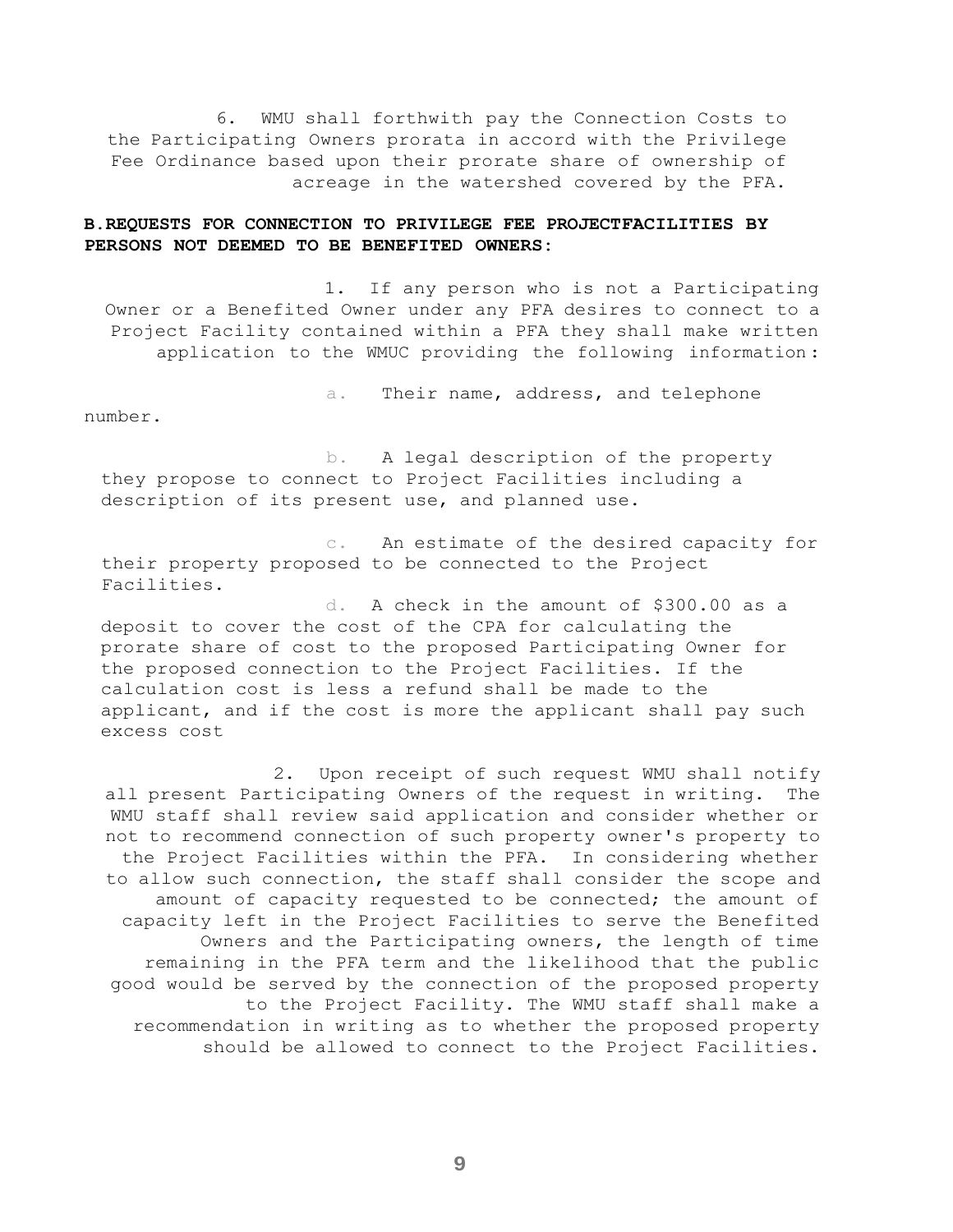6. WMU shall forthwith pay the Connection Costs to the Participating Owners prorata in accord with the Privilege Fee Ordinance based upon their prorate share of ownership of acreage in the watershed covered by the PFA.

#### **B.REQUESTS FOR CONNECTION TO PRIVILEGE FEE PROJECTFACILITIES BY PERSONS NOT DEEMED TO BE BENEFITED OWNERS:**

1. If any person who is not a Participating Owner or a Benefited Owner under any PFA desires to connect to a Project Facility contained within a PFA they shall make written application to the WMUC providing the following information :

a. Their name, address, and telephone

number.

b. A legal description of the property they propose to connect to Project Facilities including a description of its present use, and planned use.

c. An estimate of the desired capacity for their property proposed to be connected to the Project Facilities.

d. A check in the amount of \$300.00 as a deposit to cover the cost of the CPA for calculating the prorate share of cost to the proposed Participating Owner for the proposed connection to the Project Facilities. If the calculation cost is less a refund shall be made to the applicant, and if the cost is more the applicant shall pay such excess cost

2. Upon receipt of such request WMU shall notify all present Participating Owners of the request in writing. The WMU staff shall review said application and consider whether or not to recommend connection of such property owner's property to the Project Facilities within the PFA. In considering whether to allow such connection, the staff shall consider the scope and amount of capacity requested to be connected; the amount of capacity left in the Project Facilities to serve the Benefited Owners and the Participating owners, the length of time remaining in the PFA term and the likelihood that the public good would be served by the connection of the proposed property to the Project Facility. The WMU staff shall make a recommendation in writing as to whether the proposed property should be allowed to connect to the Project Facilities.